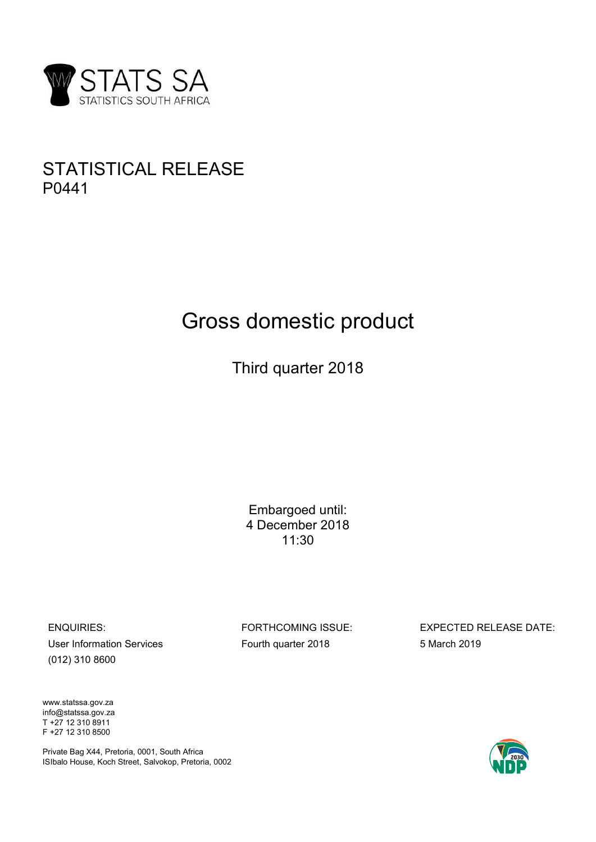

# STATISTICAL RELEASE P0441

# Gross domestic product E<br>S domestic product<br>Third quarter 2018

Embargoed until: domestic product<br>
ird quarter 2018<br>
Embargoed until:<br>
4 December 2018<br>
11:30 11:30

Finder 2018<br>
Embargoed until:<br>
4 December 2018<br>
11:30<br>
ENQUIRIES:<br>
LISE INTERIGATION SESSUE:<br>
LISE INTERIGATION SESSUE:<br>
For THE COMING ISSUE:<br>
Fourth quarter 2018<br>
5 March 2019<br>
5 March 2019 Embargoed until:<br>
4 December 2018<br>
11:30<br>
ENQUIRIES:<br>
ENQUIRIES:<br>
FORTHCOMING ISSUE:<br>
Forth quarter 2018<br>
5 March 2019<br>
5 March 2019<br>
Www.statssa.gov.za (012) 310 8600 Embargoed until:<br>
4 December 2018<br>
11:30<br>
11:30<br>
ENQUIRIES: FORTHCOMING ISSUE:<br>
User Information Services Fourth quarter 2018<br>
(012) 310 8600<br>
WWW.statssa.gov.za<br>
Info@statssa.gov.za<br>
T+27 12 310 8911<br>
T+27 12 310 8911<br>
T-Embargoed until:<br>
4 December 2018<br>
11:30<br>
11:30<br>
ENQUIRIES: FORTHCOMING ISSUE:<br>
User Information Services Fourth quarter 2018<br>
(012) 310 8600<br>
WWW.statssa.gov.za<br>
T+27 12 310 8600<br>
Private Bag X44, Pretoria, 0001, South Af

www.statssa.gov.za info@statssa.gov.za

Private Bag X44, Pretoria, 0001, South Africa ISIbalo House, Koch Street, Salvokop, Pretoria, 0002

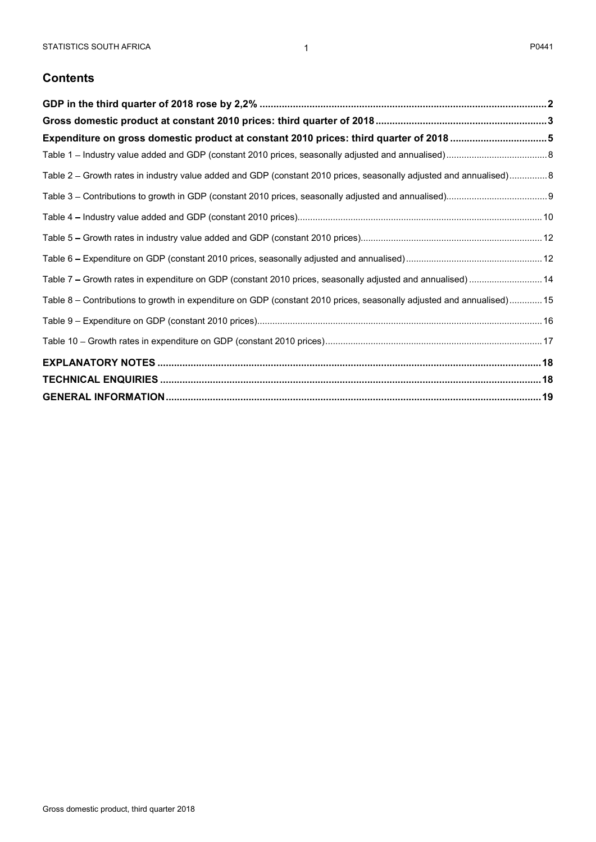# **Contents**

| STATISTICS SOUTH AFRICA<br>-1                                                                                         | P0441 |
|-----------------------------------------------------------------------------------------------------------------------|-------|
| <b>Contents</b>                                                                                                       |       |
|                                                                                                                       |       |
|                                                                                                                       |       |
| Expenditure on gross domestic product at constant 2010 prices: third quarter of 2018 5                                |       |
|                                                                                                                       |       |
| Table 2 - Growth rates in industry value added and GDP (constant 2010 prices, seasonally adjusted and annualised) 8   |       |
|                                                                                                                       |       |
|                                                                                                                       |       |
|                                                                                                                       |       |
|                                                                                                                       |       |
| Table 7 - Growth rates in expenditure on GDP (constant 2010 prices, seasonally adjusted and annualised) 14            |       |
| Table 8 - Contributions to growth in expenditure on GDP (constant 2010 prices, seasonally adjusted and annualised) 15 |       |
|                                                                                                                       |       |
|                                                                                                                       |       |
|                                                                                                                       |       |
|                                                                                                                       |       |
|                                                                                                                       |       |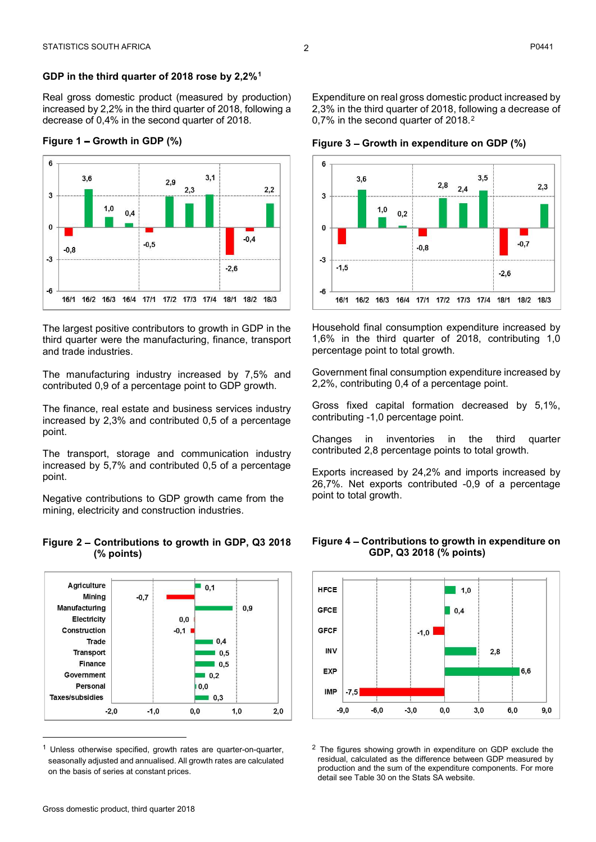STATISTICS SOUTH AFRICA<br>
GDP in the third quarter of 2018 rose by 2,2%<sup>1</sup><br>
Real gross domestic product (measured by production) Expenditure on real gross domestic product increased<br>
increased by 2,2% in the third quarter STATISTICS SOUTH AFRICA<br> **GDP in the third quarter of 2018 rose by 2,2%<sup>1</sup><br>
Real gross domestic product (measured by production) Expenditure on real gross domestic product<br>
increased by 2,2% in the third quarter of 2018,** 



and trade industries.

The finance, real estate and business services industry Gross fixed capital formation or<br>increased by 2.3% and contributed 0.5 of a percentage contributing -1,0 percentage point. point.

The transport, storage and communication industry contributed 2,8 percentage points to total growth. point.

# (% points)



on the basis of series at constant prices.

Real gross domestic product (measured by production) P0441<br>Expenditure on real gross domestic product increased by<br>2,3% in the third quarter of 2018, following a decrease of<br>0,7% in the second quarter of 2018.<sup>2</sup><br>Figure 3 – Growth in expenditure on GDP (%) Expenditure on real gross domestic product increased by<br>2,3% in the third quarter of 2018, following a decrease of<br>0,7% in the second quarter of 2018.<sup>2</sup><br>Figure 3 – Growth in expenditure on GDP (%)



Household final consumption expenditure increased by percentage point to total growth.

Government final consumption expenditure increased by

Gross fixed capital formation decreased by 5,1%,

Exports increased by 24,2% and imports increased by point to total growth.



Unless otherwise specified, growth rates are quarter-on-quarter,  $\frac{2}{3}$  The figures showing growth in expenditure on GDP exclude the seasonally adjusted and annualised. All growth rates are calculated residual, calculated as the difference between GDP measured by production and the sum of the expenditure components. For more detail see Table 30 on the Stats SA website.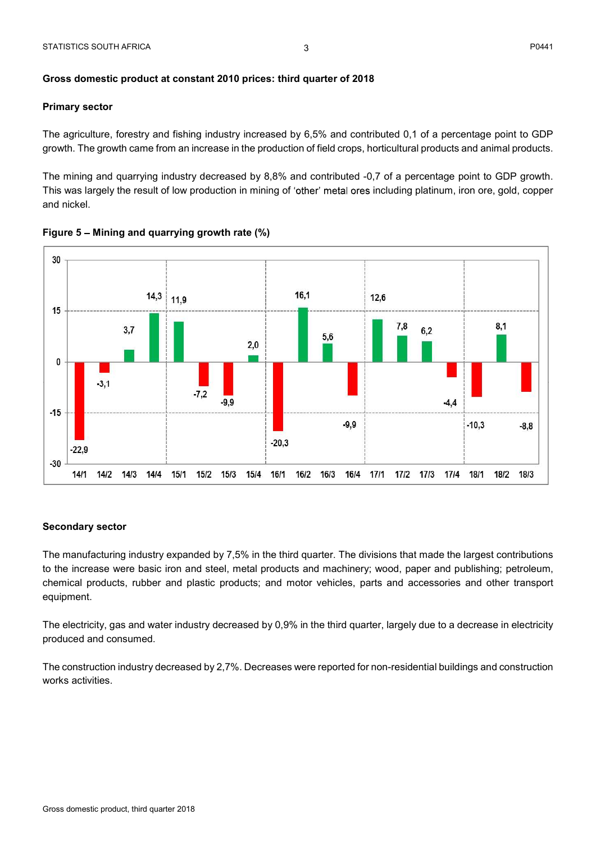# Primary sector

STATISTICS SOUTH AFRICA<br>Gross domestic product at constant 2010 prices: third quarter of 2018<br>Primary sector<br>The agriculture, forestry and fishing industry increased by 6,5% and contributed 0,1 of a percentage point to GDP

PO441<br>
The agriculture, forestry and fishing industry increased by 6,5% and contributed 0,1 of a percentage point to GDP<br>
The agriculture, forestry and fishing industry increased by 6,5% and contributed 0,1 of a percentage growth. The growth came from an increase in the production of field crops, horticultural products and animal products.<br>The agriculture, forestry and fishing industry increased by 6,5% and contributed 0,1 of a percentage po FIATISTICS SOUTH AFRICA<br>
The agriculture, forestry and fishing industry increased by 6,5% and contributed 0,1 of a percentage point to GDP<br>
The agriculture, forestry and fishing industry increased by 6,5% and contributed 0 PRIATISTICS SOUTH AFRICA<br>
The agriculture, forestry and fishing industry increased by 6,5% and contributed 0,1 of a percentage point to GDP<br>
The agriculture, forestry and fishing industry increased by 6,5% and contributed STATISTICS SOUTH AFRICA<br>
3<br>
Gross domestic product at constant 2010 prices: third quarter of 2018<br>
Primary sector<br>
The agriculture, forestry and fishing industry increased by 6,5% and contribut<br>
growth. The growth came fro





# Secondary sector

to the increase were basic iron and steel, metal products and machinery; wood, paper and publishing; petroleum, equipment.

produced and consumed.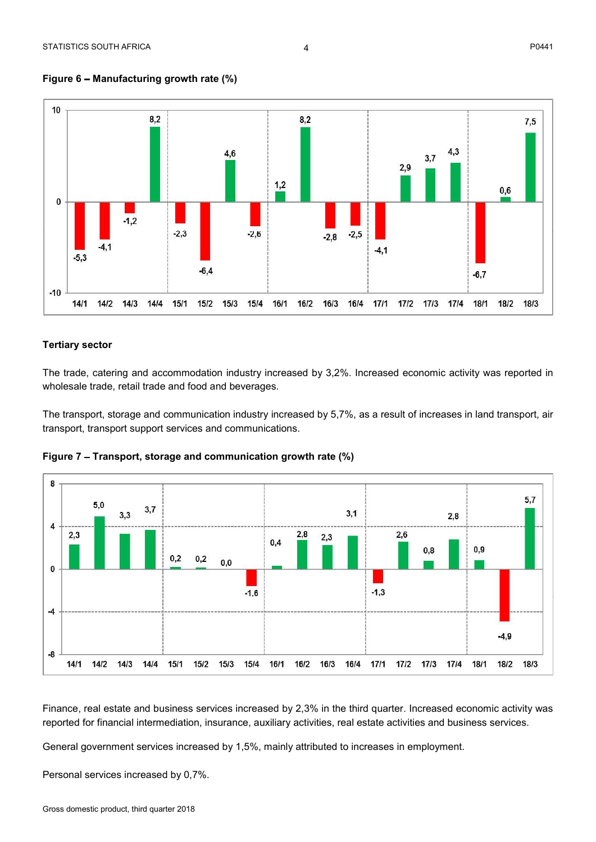

# Figure  $6$  – Manufacturing growth rate  $(\%)$

# Tertiary sector

wholesale trade, retail trade and food and beverages.





Personal services increased by 0,7%.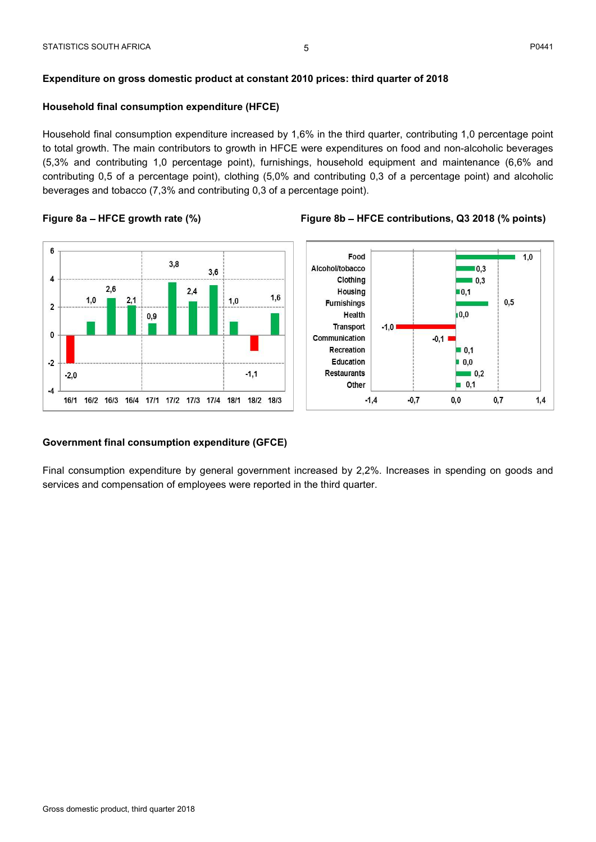# Household final consumption expenditure (HFCE)

Expenditure on gross domestic product at constant 2010 prices: third quarter of 2018<br>Expenditure on gross domestic product at constant 2010 prices: third quarter of 2018<br>Household final consumption expenditure increased by Expenditure on gross domestic product at constant 2010 prices: third quarter of 2018<br>
Household final consumption expenditure (HFCE)<br>
Household final consumption expenditure increased by 1,6% in the third quarter, contribu Expenditure on gross domestic product at constant 2010 prices: third quarter of 2018<br>
Household final consumption expenditure (HFCE)<br>
Household final consumption expenditure increased by 1,6% in the third quarter, contribu FXATISTICS SOUTH AFRICA<br>
Expenditure on gross domestic product at constant 2010 prices: third quarter of 2018<br>
Household final consumption expenditure increased by 1,6% in the third quarter, contributing 1,0 percentage poi Expenditure on gross domestic product at constant 2010 prices: third quarter of 2018<br>
Household final consumption expenditure (HFCE)<br>
Household final consumption expenditure increased by 1,6% in the third quarter, contribu BEXPIRITICS SOUTH AFRICA<br>
Expenditure on gross domestic product at constant 2010 prices: third quarter of 2018<br>
Household final consumption expenditure (HFCE)<br>
Household final consumption expenditure increased by 1.6% in t Expenditure on gross domestic product at constant 2010 prices: third quarter of 2018<br>
Household final consumption expenditure (HFCE)<br>
Household final consumption expenditure increased by 1,6% in the third quarter, contrib





# Government final consumption expenditure (GFCE)

services and compensation of employees were reported in the third quarter.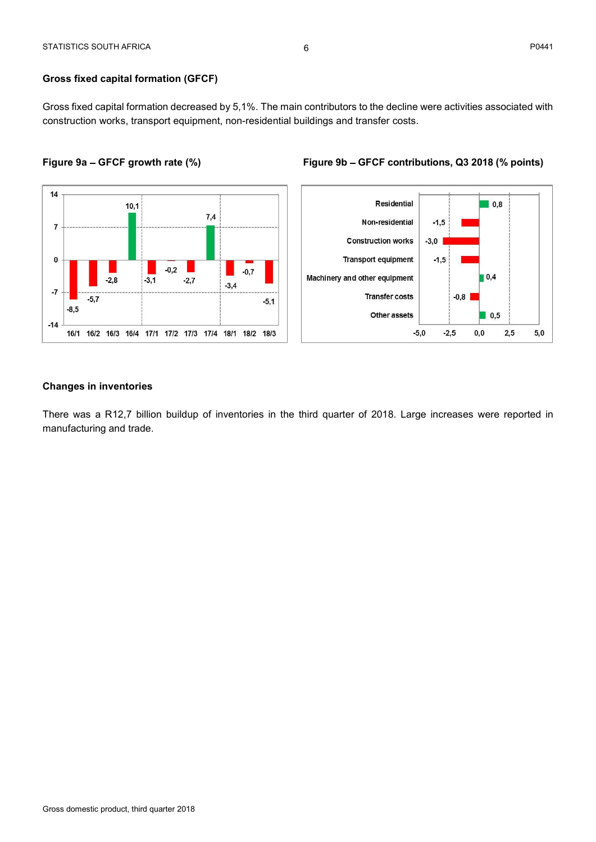STATISTICS SOUTH AFRICA<br>
Gross fixed capital formation (GFCF)<br>
Gross fixed capital formation decreased by 5,1%. The main contributors to the decline were activities assoc<br>
construction works, transport equipment, non-resid Gross fixed capital formation decreased by 5,1%. The main contributors to the decline were activities associated with examing the Gross fixed capital formation (GFCF)<br>
Gross fixed capital formation decreased by 5,1%. The main contributors to the decline were activities associated with<br>
construction works, transport equipment, non-resident FIATISTICS SOUTH AFRICA<br>
Gross fixed capital formation (GFCF)<br>
Gross fixed capital formation decreased by 5,1%. The main contributors to the decline were activities associated with<br>
construction works, transport equipment,





manufacturing and trade.

# $6\,$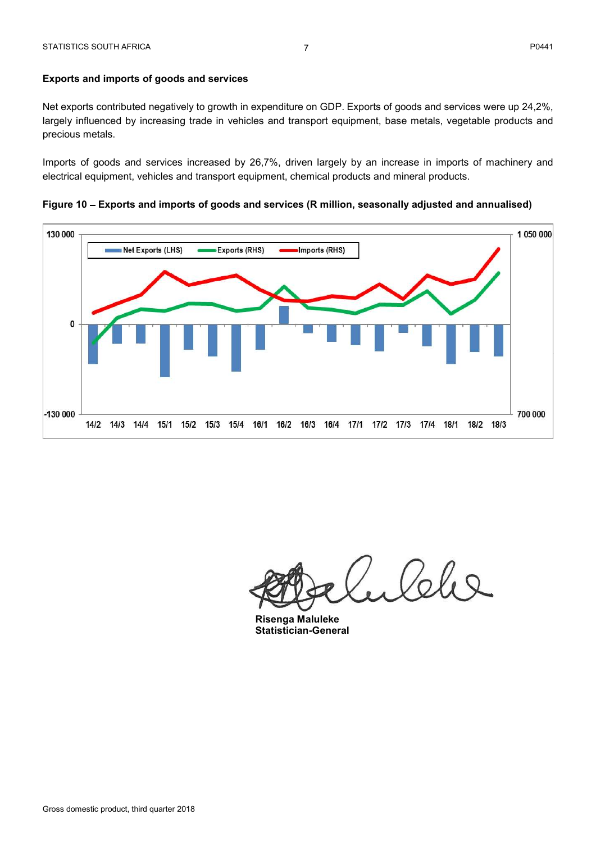## Exports and imports of goods and services

PO441<br>
Exports and imports of goods and services<br>
Net exports contributed negatively to growth in expenditure on GDP. Exports of goods and services were up 24,2%,<br>
Dependition and the sympth of goods and services and trans PO441<br>
Exports and imports of goods and services<br>
Net exports contributed negatively to growth in expenditure on GDP. Exports of goods and services were up 24,2%,<br>
Deprediction and transport equipment, base metals, vegetab precious metals.

Imports of goods and services increased by 26,7%, driven largely by an increase in imports of machinery and electrical equipment, vehicles and transport equipment, chemical products and mineral products.

Figure 10 Exports and imports of goods and services (R million, seasonally adjusted and annualised)



Coles

Risenga Maluleke Statistician-General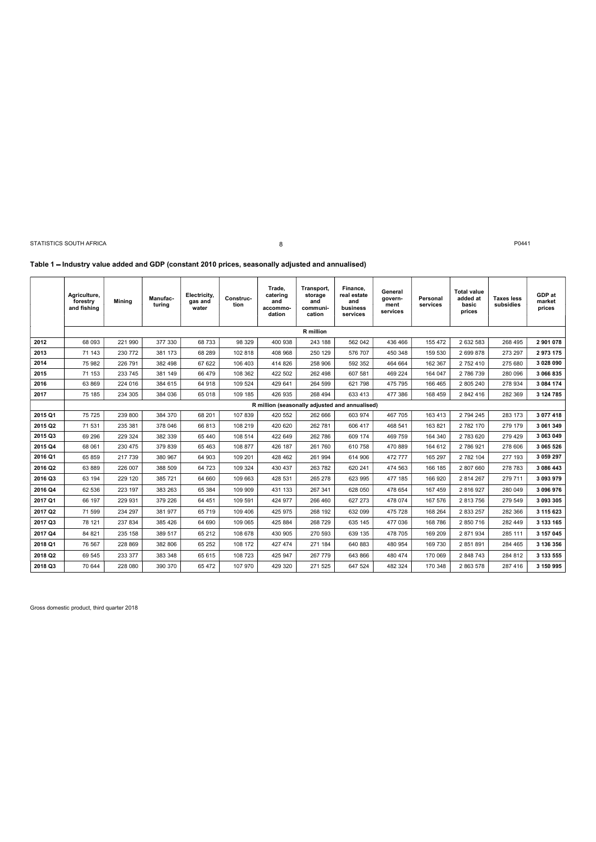STATISTICS SOUTH AFRICA **PO441** POACH **ACCOUNT ASSAULT ASSAULT BECAUSE ASSAULT ASSAULT ASSAULT ASSAULT ASSAULT ASSAULT ASSAULT ASSAULT ASSAULT ASSAULT ASSAULT ASSAULT ASSAULT ASSAULT ASSAULT ASSAULT ASSAULT ASSAULT ASSAU** 

8

### Table 1 - Industry value added and GDP (constant 2010 prices, seasonally adjusted and annualised)

|         | Agriculture,<br>forestry<br>and fishing | <b>Mining</b> | Manufac-<br>turina | Electricity,<br>gas and<br>water | Construc-<br>tion | Trade.<br>catering<br>and<br>accommo-<br>dation | Transport,<br>storage<br>and<br>communi-<br>cation | Finance,<br>real estate<br>and<br>business<br>services | General<br>govern-<br>ment<br>services | Personal<br>services | <b>Total value</b><br>added at<br>basic<br>prices | <b>Taxes less</b><br>subsidies | GDP at<br>market<br>prices |
|---------|-----------------------------------------|---------------|--------------------|----------------------------------|-------------------|-------------------------------------------------|----------------------------------------------------|--------------------------------------------------------|----------------------------------------|----------------------|---------------------------------------------------|--------------------------------|----------------------------|
|         |                                         |               |                    |                                  |                   |                                                 | R million                                          |                                                        |                                        |                      |                                                   |                                |                            |
| 2012    | 68 093                                  | 221 990       | 377 330            | 68733                            | 98 329            | 400 938                                         | 243 188                                            | 562 042                                                | 436 466                                | 155 472              | 2 632 583                                         | 268 495                        | 2 901 078                  |
| 2013    | 71 143                                  | 230 772       | 381 173            | 68 289                           | 102 818           | 408 968                                         | 250 129                                            | 576 707                                                | 450 348                                | 159 530              | 2 699 878                                         | 273 297                        | 2973175                    |
| 2014    | 75 982                                  | 226 791       | 382 498            | 67 622                           | 106 403           | 414 826                                         | 258 906                                            | 592 352                                                | 464 664                                | 162 367              | 2 752 410                                         | 275 680                        | 3 0 28 0 90                |
| 2015    | 71 153                                  | 233 745       | 381 149            | 66 479                           | 108 362           | 422 502                                         | 262 498                                            | 607 581                                                | 469 224                                | 164 047              | 2 786 739                                         | 280 096                        | 3 066 835                  |
| 2016    | 63 869                                  | 224 016       | 384 615            | 64 918                           | 109 524           | 429 641                                         | 264 599                                            | 621 798                                                | 475 795                                | 166 465              | 2 805 240                                         | 278 934                        | 3 084 174                  |
| 2017    | 75 185                                  | 234 305       | 384 036            | 65 018                           | 109 185           | 426 935                                         | 268 494                                            | 633 413                                                | 477 386                                | 168 459              | 2 842 416                                         | 282 369                        | 3 124 785                  |
|         |                                         |               |                    |                                  |                   | R million (seasonally adjusted and annualised)  |                                                    |                                                        |                                        |                      |                                                   |                                |                            |
| 2015 Q1 | 75 725                                  | 239 800       | 384 370            | 68 201                           | 107 839           | 420 552                                         | 262 666                                            | 603 974                                                | 467 705                                | 163 413              | 2 794 245                                         | 283 173                        | 3 077 418                  |
| 2015 Q2 | 71 531                                  | 235 381       | 378 046            | 66813                            | 108 219           | 420 620                                         | 262 781                                            | 606 417                                                | 468 541                                | 163 821              | 2 782 170                                         | 279 179                        | 3 061 349                  |
| 2015 Q3 | 69 29 6                                 | 229 324       | 382 339            | 65 440                           | 108 514           | 422 649                                         | 262 786                                            | 609 174                                                | 469 759                                | 164 340              | 2 783 620                                         | 279 429                        | 3 063 049                  |
| 2015 Q4 | 68 061                                  | 230 475       | 379 839            | 65 4 63                          | 108 877           | 426 187                                         | 261 760                                            | 610 758                                                | 470 889                                | 164 612              | 2 786 921                                         | 278 606                        | 3 065 526                  |
| 2016 Q1 | 65 859                                  | 217 739       | 380 967            | 64 903                           | 109 201           | 428 462                                         | 261 994                                            | 614 906                                                | 472 777                                | 165 297              | 2 782 104                                         | 277 193                        | 3 059 297                  |
| 2016 Q2 | 63 889                                  | 226 007       | 388 509            | 64 723                           | 109 324           | 430 437                                         | 263 782                                            | 620 241                                                | 474 563                                | 166 185              | 2 807 660                                         | 278 783                        | 3 086 443                  |
| 2016 Q3 | 63 194                                  | 229 120       | 385 721            | 64 660                           | 109 663           | 428 531                                         | 265 278                                            | 623 995                                                | 477 185                                | 166 920              | 2 814 267                                         | 279 711                        | 3 093 979                  |
| 2016 Q4 | 62 536                                  | 223 197       | 383 263            | 65 384                           | 109 909           | 431 133                                         | 267 341                                            | 628 050                                                | 478 654                                | 167 459              | 2 816 927                                         | 280 049                        | 3 096 976                  |
| 2017 Q1 | 66 197                                  | 229 931       | 379 226            | 64 451                           | 109 591           | 424 977                                         | 266 460                                            | 627 273                                                | 478 074                                | 167 576              | 2 813 756                                         | 279 549                        | 3 093 305                  |
| 2017 Q2 | 71 599                                  | 234 297       | 381 977            | 65 719                           | 109 406           | 425 975                                         | 268 192                                            | 632 099                                                | 475 728                                | 168 264              | 2 833 257                                         | 282 366                        | 3 115 623                  |
| 2017 Q3 | 78 121                                  | 237 834       | 385 426            | 64 690                           | 109 065           | 425 884                                         | 268 729                                            | 635 145                                                | 477 036                                | 168 786              | 2 850 716                                         | 282 449                        | 3 133 165                  |
| 2017 Q4 | 84 821                                  | 235 158       | 389 517            | 65 212                           | 108 678           | 430 905                                         | 270 593                                            | 639 135                                                | 478 705                                | 169 209              | 2 871 934                                         | 285 111                        | 3 157 045                  |
| 2018 Q1 | 76 567                                  | 228 869       | 382 806            | 65 25 2                          | 108 172           | 427 474                                         | 271 184                                            | 640 883                                                | 480 954                                | 169 730              | 2 851 891                                         | 284 465                        | 3 136 356                  |
| 2018 Q2 | 69 545                                  | 233 377       | 383 348            | 65 615                           | 108 723           | 425 947                                         | 267 779                                            | 643 866                                                | 480 474                                | 170 069              | 2 848 743                                         | 284 812                        | 3 133 555                  |
| 2018 Q3 | 70 644                                  | 228 080       | 390 370            | 65 472                           | 107 970           | 429 320                                         | 271 525                                            | 647 524                                                | 482 324                                | 170 348              | 2 863 578                                         | 287 416                        | 3 150 995                  |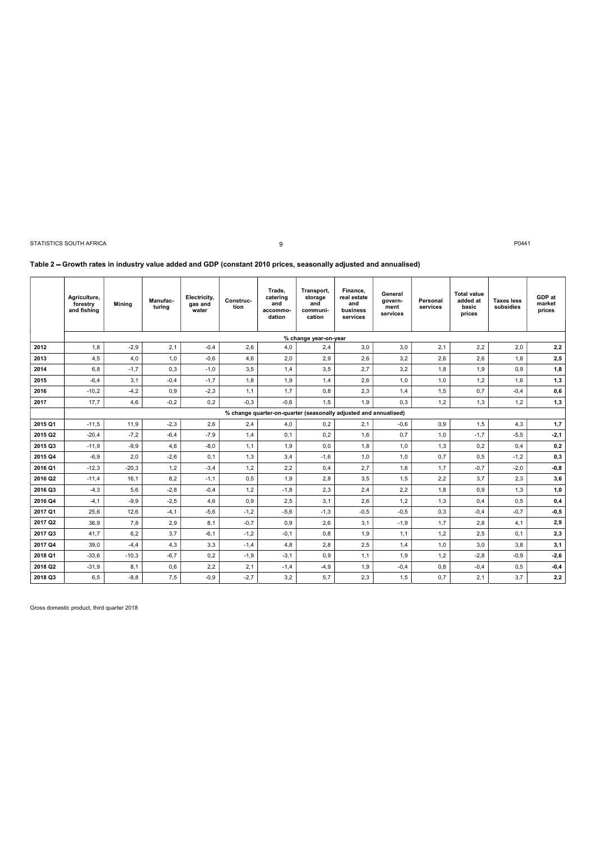9

### Table 2 Growth rates in industry value added and GDP (constant 2010 prices, seasonally adjusted and annualised)

|         | Agriculture,<br>forestry<br>and fishing | <b>Mining</b> | Manufac-<br>turing | Electricity.<br>gas and<br>water | Construc-<br>tion | Trade.<br>catering<br>and<br>accommo-<br>dation | Transport,<br>storage<br>and<br>communi-<br>cation | Finance,<br>real estate<br>and<br>business<br>services           | General<br>govern-<br>ment<br>services | Personal<br>services | <b>Total value</b><br>added at<br>basic<br>prices | <b>Taxes less</b><br>subsidies | GDP at<br>market<br>prices |
|---------|-----------------------------------------|---------------|--------------------|----------------------------------|-------------------|-------------------------------------------------|----------------------------------------------------|------------------------------------------------------------------|----------------------------------------|----------------------|---------------------------------------------------|--------------------------------|----------------------------|
|         |                                         |               |                    |                                  |                   |                                                 | % change year-on-year                              |                                                                  |                                        |                      |                                                   |                                |                            |
| 2012    | 1,8                                     | $-2,9$        | 2,1                | $-0,4$                           | 2,6               | 4,0                                             | 2,4                                                | 3,0                                                              | 3,0                                    | 2,1                  | 2,2                                               | 2,0                            | 2,2                        |
| 2013    | 4,5                                     | 4,0           | 1,0                | $-0,6$                           | 4,6               | 2,0                                             | 2,9                                                | 2,6                                                              | 3,2                                    | 2,6                  | 2,6                                               | 1,8                            | 2,5                        |
| 2014    | 6.8                                     | $-1,7$        | 0,3                | $-1.0$                           | 3,5               | 1,4                                             | 3,5                                                | 2.7                                                              | 3,2                                    | 1,8                  | 1,9                                               | 0,9                            | 1,8                        |
| 2015    | $-6,4$                                  | 3,1           | $-0,4$             | $-1,7$                           | 1,8               | 1,9                                             | 1,4                                                | 2,6                                                              | 1,0                                    | 1,0                  | 1,2                                               | 1,6                            | 1,3                        |
| 2016    | $-10,2$                                 | $-4,2$        | 0,9                | $-2,3$                           | 1,1               | 1,7                                             | 0,8                                                | 2,3                                                              | 1,4                                    | 1,5                  | 0,7                                               | $-0,4$                         | 0,6                        |
| 2017    | 17,7                                    | 4,6           | $-0,2$             | 0,2                              | $-0.3$            | $-0,6$                                          | 1,5                                                | 1,9                                                              | 0,3                                    | 1,2                  | 1,3                                               | 1,2                            | 1,3                        |
|         |                                         |               |                    |                                  |                   |                                                 |                                                    | % change quarter-on-quarter (seasonally adjusted and annualised) |                                        |                      |                                                   |                                |                            |
| 2015 Q1 | $-11,5$                                 | 11,9          | $-2,3$             | 2,6                              | 2,4               | 4,0                                             | 0,2                                                | 2,1                                                              | $-0,6$                                 | 0,9                  | 1,5                                               | 4,3                            | 1,7                        |
| 2015 Q2 | $-20,4$                                 | $-7,2$        | $-6,4$             | $-7.9$                           | 1,4               | 0.1                                             | 0,2                                                | 1,6                                                              | 0,7                                    | 1,0                  | $-1.7$                                            | $-5,5$                         | $-2,1$                     |
| 2015 Q3 | $-11,9$                                 | $-9,9$        | 4,6                | $-8,0$                           | 1,1               | 1,9                                             | 0,0                                                | 1,8                                                              | 1,0                                    | 1,3                  | 0,2                                               | 0,4                            | 0,2                        |
| 2015 Q4 | $-6,9$                                  | 2,0           | $-2,6$             | 0,1                              | 1,3               | 3,4                                             | $-1,6$                                             | 1,0                                                              | 1,0                                    | 0,7                  | 0,5                                               | $-1,2$                         | 0,3                        |
| 2016 Q1 | $-12,3$                                 | $-20.3$       | 1,2                | $-3.4$                           | 1,2               | 2.2                                             | 0,4                                                | 2.7                                                              | 1.6                                    | 1,7                  | $-0.7$                                            | $-2.0$                         | $-0,8$                     |
| 2016 Q2 | $-11,4$                                 | 16,1          | 8,2                | $-1,1$                           | 0,5               | 1,9                                             | 2,8                                                | 3,5                                                              | 1,5                                    | 2,2                  | 3,7                                               | 2,3                            | 3,6                        |
| 2016 Q3 | $-4,3$                                  | 5,6           | $-2,8$             | $-0,4$                           | 1,2               | $-1,8$                                          | 2,3                                                | 2,4                                                              | 2,2                                    | 1,8                  | 0,9                                               | 1,3                            | 1,0                        |
| 2016 Q4 | $-4,1$                                  | $-9,9$        | $-2,5$             | 4,6                              | 0,9               | 2,5                                             | 3,1                                                | 2,6                                                              | 1,2                                    | 1,3                  | 0,4                                               | 0,5                            | 0,4                        |
| 2017 Q1 | 25,6                                    | 12,6          | $-4, 1$            | $-5,6$                           | $-1,2$            | $-5,6$                                          | $-1,3$                                             | $-0,5$                                                           | $-0,5$                                 | 0,3                  | $-0,4$                                            | $-0,7$                         | $-0,5$                     |
| 2017 Q2 | 36,9                                    | 7,8           | 2,9                | 8,1                              | $-0,7$            | 0,9                                             | 2,6                                                | 3,1                                                              | $-1,9$                                 | 1,7                  | 2,8                                               | 4,1                            | 2,9                        |
| 2017 Q3 | 41,7                                    | 6,2           | 3.7                | $-6.1$                           | $-1,2$            | $-0,1$                                          | 0,8                                                | 1,9                                                              | 1.1                                    | 1,2                  | 2,5                                               | 0.1                            | 2,3                        |
| 2017 Q4 | 39,0                                    | $-4,4$        | 4,3                | 3,3                              | $-1,4$            | 4,8                                             | 2,8                                                | 2,5                                                              | 1,4                                    | 1,0                  | 3,0                                               | 3,8                            | 3,1                        |
| 2018 Q1 | $-33,6$                                 | $-10,3$       | $-6,7$             | 0,2                              | $-1,9$            | $-3,1$                                          | 0,9                                                | 1,1                                                              | 1,9                                    | 1,2                  | $-2,8$                                            | $-0,9$                         | $-2,6$                     |
| 2018 Q2 | $-31,9$                                 | 8,1           | 0,6                | 2,2                              | 2,1               | $-1,4$                                          | $-4,9$                                             | 1,9                                                              | $-0,4$                                 | 0,8                  | $-0,4$                                            | 0,5                            | $-0,4$                     |
| 2018 Q3 | 6,5                                     | $-8, 8$       | 7,5                | $-0,9$                           | $-2,7$            | 3,2                                             | 5,7                                                | 2,3                                                              | 1,5                                    | 0,7                  | 2,1                                               | 3,7                            | 2,2                        |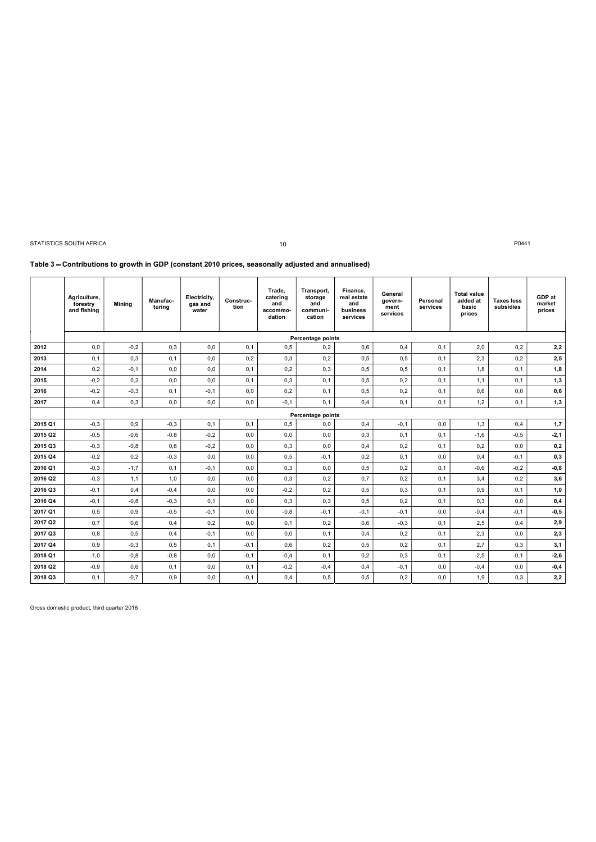|                    | STATISTICS SOUTH AFRICA<br>Table 3 - Contributions to growth in GDP (constant 2010 prices, seasonally adjusted and annualised) |               |                    |                                  |                   | 10                                              |                                                    |                                                        |                                        |                      |                                                   | P0441                          |                            |
|--------------------|--------------------------------------------------------------------------------------------------------------------------------|---------------|--------------------|----------------------------------|-------------------|-------------------------------------------------|----------------------------------------------------|--------------------------------------------------------|----------------------------------------|----------------------|---------------------------------------------------|--------------------------------|----------------------------|
|                    | Agriculture,<br>forestry<br>and fishing                                                                                        | Mining        | Manufac-<br>turing | Electricity,<br>gas and<br>water | Construc-<br>tion | Trade,<br>catering<br>and<br>accommo-<br>dation | Transport,<br>storage<br>and<br>communi-<br>cation | Finance,<br>real estate<br>and<br>business<br>services | General<br>govern-<br>ment<br>services | Personal<br>services | <b>Total value</b><br>added at<br>basic<br>prices | <b>Taxes less</b><br>subsidies | GDP at<br>market<br>prices |
|                    |                                                                                                                                |               |                    |                                  |                   |                                                 | Percentage points                                  |                                                        |                                        |                      |                                                   |                                |                            |
| 2012               | 0,0                                                                                                                            | $-0,2$        | 0,3                | 0,0                              | 0,1               | 0,5                                             | 0,2                                                | 0,6                                                    | 0,4                                    | 0,1                  | 2,0                                               | 0,2                            | 2,2                        |
| 2013               | 0,1                                                                                                                            | 0,3           | 0,1                |                                  |                   | 0,3                                             | 0,2                                                |                                                        |                                        |                      |                                                   |                                | 2,5                        |
| 2014               | 0,2                                                                                                                            |               |                    | 0,0                              | 0,2               |                                                 |                                                    | 0,5                                                    | 0,5                                    | 0,1                  | 2,3                                               | 0,2                            |                            |
|                    |                                                                                                                                | $-0,1$        | 0,0                | 0,0                              | 0,1               | 0,2                                             | 0,3                                                | 0,5                                                    | 0,5                                    | 0,1                  | 1,8                                               | 0,1                            | 1,8                        |
| 2015               | $-0,2$                                                                                                                         | 0,2           | 0,0                | 0,0                              | 0,1               | 0,3                                             | 0,1                                                | 0,5                                                    | 0,2                                    | 0,1                  | 1,1                                               | 0,1                            | 1,3                        |
| 2016               | $-0,2$                                                                                                                         | $-0,3$        | 0,1                | $-0,1$                           | 0,0               | 0,2                                             | 0,1                                                | 0,5                                                    | 0,2                                    | 0,1                  | 0,6                                               | 0,0                            | 0,6                        |
| 2017               | 0,4                                                                                                                            | 0,3           | 0,0                | 0,0                              | 0,0               | $-0,1$                                          | 0,1                                                | 0,4                                                    | 0,1                                    | 0,1                  | 1,2                                               | 0,1                            | 1,3                        |
|                    |                                                                                                                                |               |                    |                                  |                   |                                                 | Percentage points                                  |                                                        |                                        |                      |                                                   |                                |                            |
| 2015 Q1            | $-0,3$                                                                                                                         | 0,9           | $-0,3$             | 0,1                              | 0,1               | 0,5                                             | 0,0                                                | 0,4                                                    | $-0,1$                                 | 0,0                  | 1,3                                               | 0,4                            | 1,7                        |
| 2015 Q2            | $-0,5$                                                                                                                         | $-0,6$        | $-0,8$             | $-0,2$                           | 0,0               | 0,0                                             | 0,0                                                | 0,3                                                    | 0,1                                    | 0,1                  | $-1,6$                                            | $-0,5$                         | $-2,1$                     |
| 2015 Q3            | $-0,3$                                                                                                                         | $-0, 8$       | 0,6                | $-0,2$                           | 0,0               | 0,3                                             | 0,0                                                | 0,4                                                    | 0,2                                    | 0,1                  | 0,2                                               | 0,0                            | 0,2                        |
| 2015 Q4            | $-0,2$                                                                                                                         | 0,2           | $-0,3$             | $_{0,0}$                         | 0,0               | 0,5                                             | $-0,1$                                             | 0,2                                                    | 0,1                                    | 0,0                  | 0,4                                               | $-0,1$                         | 0,3                        |
| 2016 Q1            | $-0,3$                                                                                                                         | $-1,7$        | 0,1                | $-0,1$                           | 0,0               | 0,3                                             | 0,0                                                | 0,5                                                    | 0,2                                    | 0,1                  | $-0,6$                                            | $-0,2$                         | $-0,8$                     |
| 2016 Q2            | $-0,3$                                                                                                                         | 1,1           | 1,0                | 0,0                              | 0,0               | 0,3                                             | 0,2                                                | 0,7                                                    | 0,2                                    | 0,1                  | 3,4                                               | 0,2                            | 3,6                        |
| 2016 Q3            | $-0,1$                                                                                                                         | 0,4           | $-0,4$             | 0,0                              | 0,0               | $-0,2$                                          | 0,2                                                | 0,5                                                    | 0,3                                    | 0,1                  | 0,9                                               | 0,1                            | 1,0                        |
| 2016 Q4            | $-0,1$                                                                                                                         | $-0,8$        | $-0,3$             | 0,1                              | 0,0               | 0,3                                             | 0,3                                                | 0,5                                                    | 0,2                                    | 0,1                  | 0,3                                               | 0,0                            | 0,4                        |
| 2017 Q1            | 0,5                                                                                                                            | 0,9           | $-0,5$             | $-0,1$                           | 0,0               | $-0,8$                                          | $-0,1$                                             | $-0,1$                                                 | $-0,1$                                 | 0,0                  | $-0,4$                                            | $-0,1$                         | -0,5                       |
| 2017 Q2            | 0,7                                                                                                                            | 0,6           | 0,4                | 0,2                              | 0,0               | 0,1                                             | 0,2                                                | 0,6                                                    | $-0,3$                                 | 0,1                  | 2,5                                               | 0,4                            | 2,9                        |
| 2017 Q3            | 0,8                                                                                                                            | 0,5           | 0,4                | $-0,1$                           | 0,0               | 0,0                                             | 0,1                                                | 0,4                                                    | 0,2                                    | 0,1                  | 2,3                                               | 0,0                            | 2,3                        |
| 2017 Q4            | 0,9                                                                                                                            | $-0,3$        | 0,5                | 0,1                              | $-0,1$            | 0,6                                             | 0,2                                                | 0, 5                                                   | 0,2                                    | 0,1                  | 2,7                                               | 0,3                            | 3,1                        |
| 2018 Q1            | $-1,0$                                                                                                                         | $-0,8$        | $-0,8$             | $_{0,0}$                         | $-0,1$            | $-0,4$                                          | 0,1                                                | 0,2                                                    | 0,3                                    | 0,1                  | $-2,5$                                            | $-0,1$                         | $-2,6$                     |
| 2018 Q2<br>2018 Q3 | $-0,9$<br>0,1                                                                                                                  | 0,6<br>$-0,7$ | 0,1<br>0,9         | 0,0<br>$_{0,0}$                  | 0,1<br>$-0,1$     | $-0,2$<br>0,4                                   | $-0,4$<br>0,5                                      | 0,4<br>0,5                                             | $-0,1$<br>0,2                          | 0,0<br>0,0           | $-0,4$<br>1,9                                     | 0,0<br>0,3                     | -0,4<br>2,2                |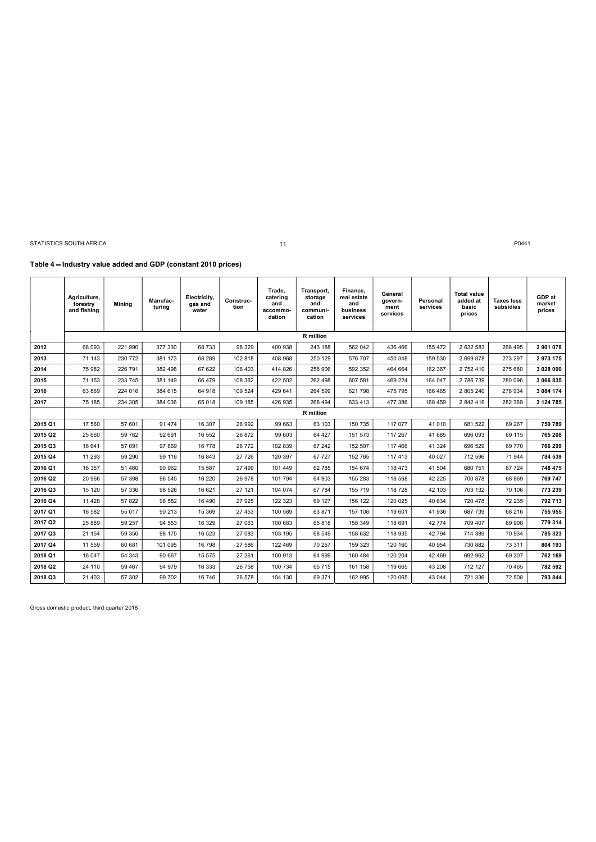$\overline{a}$ 

### 11

### Table 4 - Industry value added and GDP (constant 2010 prices)

|         | Agriculture,<br>forestry<br>and fishing | Mining  | Manufac-<br>turing | Electricity,<br>gas and<br>water | Construc-<br>tion | Trade,<br>catering<br>and<br>accommo-<br>dation | Transport,<br>storage<br>and<br>communi-<br>cation | Finance,<br>real estate<br>and<br>business<br>services | General<br>govern-<br>ment<br>services | Personal<br>services | <b>Total value</b><br>added at<br>basic<br>prices | <b>Taxes less</b><br>subsidies | GDP at<br>market<br>prices |
|---------|-----------------------------------------|---------|--------------------|----------------------------------|-------------------|-------------------------------------------------|----------------------------------------------------|--------------------------------------------------------|----------------------------------------|----------------------|---------------------------------------------------|--------------------------------|----------------------------|
|         |                                         |         |                    |                                  |                   |                                                 | R million                                          |                                                        |                                        |                      |                                                   |                                |                            |
| 2012    | 68 093                                  | 221 990 | 377 330            | 68733                            | 98 329            | 400 938                                         | 243 188                                            | 562 042                                                | 436 466                                | 155 472              | 2 632 583                                         | 268 495                        | 2 901 078                  |
| 2013    | 71 143                                  | 230 772 | 381 173            | 68 289                           | 102 818           | 408 968                                         | 250 129                                            | 576 707                                                | 450 348                                | 159 530              | 2 699 878                                         | 273 297                        | 2973175                    |
| 2014    | 75 982                                  | 226 791 | 382 498            | 67 622                           | 106 403           | 414 826                                         | 258 906                                            | 592 352                                                | 464 664                                | 162 367              | 2 752 410                                         | 275 680                        | 3 0 28 0 90                |
| 2015    | 71 153                                  | 233 745 | 381 149            | 66 479                           | 108 362           | 422 502                                         | 262 498                                            | 607 581                                                | 469 224                                | 164 047              | 2 786 739                                         | 280 096                        | 3 066 835                  |
| 2016    | 63 869                                  | 224 016 | 384 615            | 64 918                           | 109 524           | 429 641                                         | 264 599                                            | 621 798                                                | 475 795                                | 166 465              | 2 805 240                                         | 278 934                        | 3 084 174                  |
| 2017    | 75 185                                  | 234 305 | 384 036            | 65 018                           | 109 185           | 426 935                                         | 268 494                                            | 633 413                                                | 477 386                                | 168 459              | 2 842 416                                         | 282 369                        | 3 124 785                  |
|         |                                         |         |                    |                                  |                   |                                                 | R million                                          |                                                        |                                        |                      |                                                   |                                |                            |
| 2015 Q1 | 17 560                                  | 57 601  | 91 474             | 16 307                           | 26 992            | 99 663                                          | 63 103                                             | 150 735                                                | 117 077                                | 41 0 10              | 681 522                                           | 69 267                         | 750 789                    |
| 2015 Q2 | 25 660                                  | 59 762  | 92 691             | 16 552                           | 26 872            | 99 603                                          | 64 427                                             | 151 573                                                | 117 267                                | 41 685               | 696 093                                           | 69 115                         | 765 208                    |
| 2015 Q3 | 16 641                                  | 57 091  | 97 869             | 16 778                           | 26 772            | 102 839                                         | 67 24 2                                            | 152 507                                                | 117 466                                | 41 324               | 696 529                                           | 69 770                         | 766 299                    |
| 2015 Q4 | 11 293                                  | 59 290  | 99 116             | 16 843                           | 27 726            | 120 397                                         | 67 727                                             | 152 765                                                | 117 413                                | 40 027               | 712 596                                           | 71 944                         | 784 539                    |
| 2016 Q1 | 16 357                                  | 51 460  | 90 962             | 15 5 87                          | 27 499            | 101 449                                         | 62 785                                             | 154 674                                                | 118 473                                | 41 504               | 680 751                                           | 67 724                         | 748 475                    |
| 2016 Q2 | 20 966                                  | 57 398  | 96 545             | 16 220                           | 26 978            | 101 794                                         | 64 903                                             | 155 283                                                | 118 568                                | 42 2 2 5             | 700 878                                           | 68 869                         | 769 747                    |
| 2016 Q3 | 15 120                                  | 57 336  | 98 526             | 16 621                           | 27 121            | 104 074                                         | 67 784                                             | 155 719                                                | 118 728                                | 42 103               | 703 132                                           | 70 106                         | 773 239                    |
| 2016 Q4 | 11 4 28                                 | 57 822  | 98 582             | 16 490                           | 27 9 25           | 122 323                                         | 69 127                                             | 156 122                                                | 120 025                                | 40 634               | 720 478                                           | 72 235                         | 792 713                    |
| 2017 Q1 | 16 582                                  | 55 017  | 90 213             | 15 3 69                          | 27 453            | 100 589                                         | 63 871                                             | 157 108                                                | 119 601                                | 41 936               | 687 739                                           | 68 216                         | 755 955                    |
| 2017 Q2 | 25 889                                  | 59 257  | 94 553             | 16 329                           | 27 063            | 100 683                                         | 65818                                              | 158 349                                                | 118 691                                | 42 774               | 709 407                                           | 69 908                         | 779 314                    |
| 2017 Q3 | 21 154                                  | 59 350  | 98 175             | 16 523                           | 27 083            | 103 195                                         | 68 549                                             | 158 632                                                | 118 935                                | 42 794               | 714 389                                           | 70 934                         | 785 323                    |
| 2017 Q4 | 11 559                                  | 60 681  | 101 095            | 16 798                           | 27 586            | 122 469                                         | 70 257                                             | 159 323                                                | 120 160                                | 40 954               | 730 882                                           | 73 311                         | 804 193                    |
| 2018 Q1 | 16 047                                  | 54 343  | 90 667             | 15 575                           | 27 261            | 100 913                                         | 64 999                                             | 160 484                                                | 120 204                                | 42 469               | 692 962                                           | 69 207                         | 762 169                    |
| 2018 Q2 | 24 110                                  | 59 467  | 94 979             | 16 333                           | 26 758            | 100 734                                         | 65 715                                             | 161 158                                                | 119 665                                | 43 208               | 712 127                                           | 70 465                         | 782 592                    |
| 2018 Q3 | 21 403                                  | 57 302  | 99 702             | 16 746                           | 26 578            | 104 130                                         | 69 371                                             | 162 995                                                | 120 065                                | 43 044               | 721 336                                           | 72 508                         | 793 844                    |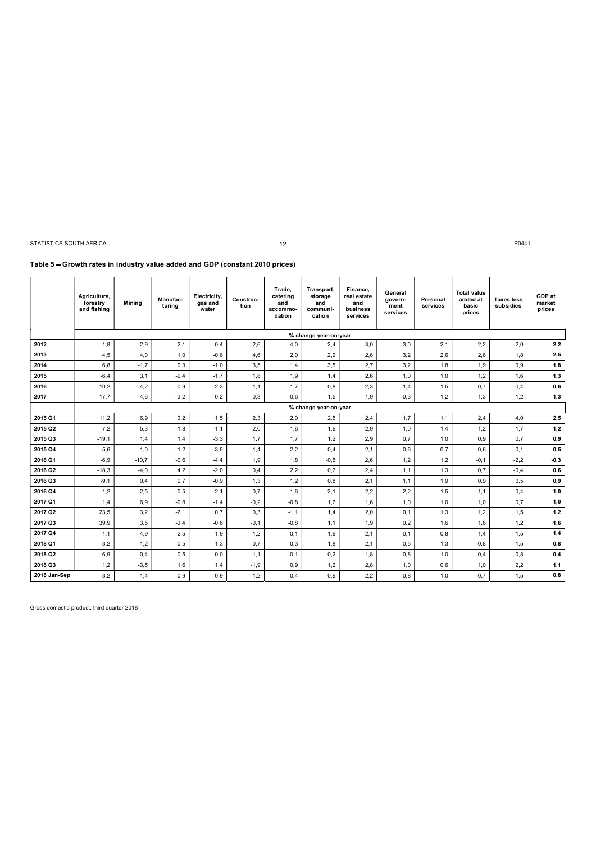### 12

# Table 5 - Growth rates in industry value added and GDP (constant 2010 prices)

|              | Agriculture,<br>forestry<br>and fishing | <b>Mining</b> | Manufac-<br>turina | Electricity,<br>gas and<br>water | Construc-<br>tion | Trade,<br>catering<br>and<br>accommo-<br>dation | Transport,<br>storage<br>and<br>communi-<br>cation | Finance.<br>real estate<br>and<br>business<br>services | General<br>govern-<br>ment<br>services | Personal<br>services | <b>Total value</b><br>added at<br>basic<br>prices | <b>Taxes less</b><br>subsidies | GDP at<br>market<br>prices |
|--------------|-----------------------------------------|---------------|--------------------|----------------------------------|-------------------|-------------------------------------------------|----------------------------------------------------|--------------------------------------------------------|----------------------------------------|----------------------|---------------------------------------------------|--------------------------------|----------------------------|
|              |                                         |               |                    |                                  |                   |                                                 | % change year-on-year                              |                                                        |                                        |                      |                                                   |                                |                            |
| 2012         | 1,8                                     | $-2,9$        | 2,1                | $-0,4$                           | 2,6               | 4,0                                             | 2,4                                                | 3,0                                                    | 3,0                                    | 2,1                  | 2,2                                               | 2,0                            | 2,2                        |
| 2013         | 4,5                                     | 4,0           | 1,0                | $-0,6$                           | 4,6               | 2,0                                             | 2,9                                                | 2,6                                                    | 3,2                                    | 2,6                  | 2,6                                               | 1,8                            | 2,5                        |
| 2014         | 6,8                                     | $-1.7$        | 0,3                | $-1,0$                           | 3,5               | 1,4                                             | 3,5                                                | 2,7                                                    | 3,2                                    | 1,8                  | 1,9                                               | 0,9                            | 1,8                        |
| 2015         | $-6,4$                                  | 3,1           | $-0,4$             | $-1,7$                           | 1,8               | 1,9                                             | 1,4                                                | 2,6                                                    | 1,0                                    | 1,0                  | 1,2                                               | 1,6                            | 1,3                        |
| 2016         | $-10,2$                                 | $-4,2$        | 0.9                | $-2,3$                           | 1,1               | 1.7                                             | 0.8                                                | 2,3                                                    | 1.4                                    | 1,5                  | 0.7                                               | $-0.4$                         | 0,6                        |
| 2017         | 17,7                                    | 4,6           | $-0,2$             | 0,2                              | $-0,3$            | $-0,6$                                          | 1,5                                                | 1,9                                                    | 0,3                                    | 1,2                  | 1,3                                               | 1,2                            | 1,3                        |
|              |                                         |               |                    |                                  |                   |                                                 | % change year-on-year                              |                                                        |                                        |                      |                                                   |                                |                            |
| 2015 Q1      | 11,2                                    | 6,9           | 0,2                | 1,5                              | 2,3               | 2,0                                             | 2,5                                                | 2,4                                                    | 1.7                                    | 1,1                  | 2,4                                               | 4,0                            | 2,5                        |
| 2015 Q2      | $-7,2$                                  | 5,3           | $-1,8$             | $-1,1$                           | 2,0               | 1,6                                             | 1,6                                                | 2,9                                                    | 1,0                                    | 1,4                  | 1,2                                               | 1,7                            | 1,2                        |
| 2015 Q3      | $-19,1$                                 | 1,4           | 1,4                | $-3,3$                           | 1,7               | 1,7                                             | 1,2                                                | 2,9                                                    | 0,7                                    | 1,0                  | 0,9                                               | 0,7                            | 0,9                        |
| 2015 Q4      | $-5,6$                                  | $-1,0$        | $-1,2$             | $-3,5$                           | 1,4               | 2,2                                             | 0,4                                                | 2,1                                                    | 0,6                                    | 0,7                  | 0,6                                               | 0,1                            | 0,5                        |
| 2016 Q1      | $-6.9$                                  | $-10.7$       | $-0,6$             | $-4,4$                           | 1,9               | 1,8                                             | $-0,5$                                             | 2,6                                                    | 1,2                                    | 1,2                  | $-0.1$                                            | $-2,2$                         | $-0,3$                     |
| 2016 Q2      | $-18,3$                                 | $-4,0$        | 4,2                | $-2,0$                           | 0,4               | 2,2                                             | 0,7                                                | 2,4                                                    | 1,1                                    | 1,3                  | 0.7                                               | $-0,4$                         | 0,6                        |
| 2016 Q3      | $-9,1$                                  | 0.4           | 0.7                | $-0,9$                           | 1,3               | 1,2                                             | 0,8                                                | 2,1                                                    | 1.1                                    | 1,9                  | 0,9                                               | 0,5                            | 0,9                        |
| 2016 Q4      | 1,2                                     | $-2,5$        | $-0,5$             | $-2,1$                           | 0,7               | 1,6                                             | 2,1                                                | 2,2                                                    | 2,2                                    | 1,5                  | 1,1                                               | 0,4                            | 1,0                        |
| 2017 Q1      | 1,4                                     | 6,9           | $-0,8$             | $-1,4$                           | $-0,2$            | $-0,8$                                          | 1,7                                                | 1,6                                                    | 1,0                                    | 1,0                  | 1,0                                               | 0,7                            | 1,0                        |
| 2017 Q2      | 23,5                                    | 3,2           | $-2,1$             | 0,7                              | 0,3               | $-1,1$                                          | 1,4                                                | 2,0                                                    | 0,1                                    | 1,3                  | 1,2                                               | 1,5                            | 1,2                        |
| 2017 Q3      | 39,9                                    | 3,5           | $-0.4$             | $-0,6$                           | $-0.1$            | $-0,8$                                          | 1,1                                                | 1,9                                                    | 0,2                                    | 1,6                  | 1,6                                               | 1,2                            | 1,6                        |
| 2017 Q4      | 1,1                                     | 4,9           | 2,5                | 1,9                              | $-1,2$            | 0,1                                             | 1,6                                                | 2,1                                                    | 0,1                                    | 0,8                  | 1,4                                               | 1,5                            | 1,4                        |
| 2018 Q1      | $-3,2$                                  | $-1,2$        | 0,5                | 1,3                              | $-0,7$            | 0,3                                             | 1,8                                                | 2,1                                                    | 0,5                                    | 1,3                  | 0,8                                               | 1,5                            | 0,8                        |
| 2018 Q2      | $-6,9$                                  | 0.4           | 0.5                | 0,0                              | $-1.1$            | 0,1                                             | $-0,2$                                             | 1,8                                                    | 0,8                                    | 1,0                  | 0.4                                               | 0,8                            | 0,4                        |
| 2018 Q3      | 1,2                                     | $-3,5$        | 1,6                | 1,4                              | $-1,9$            | 0,9                                             | 1,2                                                | 2,8                                                    | 1,0                                    | 0,6                  | 1,0                                               | 2,2                            | 1,1                        |
| 2018 Jan-Sep | $-3,2$                                  | $-1.4$        | 0.9                | 0,9                              | $-1,2$            | 0,4                                             | 0,9                                                | 2,2                                                    | 0.8                                    | 1,0                  | 0.7                                               | 1,5                            | 0,8                        |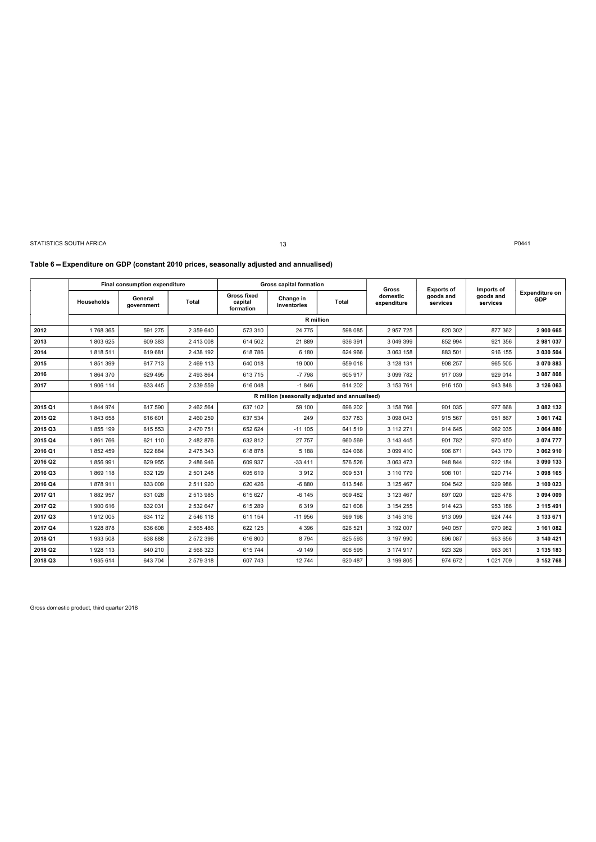13

### Table 6 - Expenditure on GDP (constant 2010 prices, seasonally adjusted and annualised)

|         |            | Final consumption expenditure |               |                                            | <b>Gross capital formation</b>                 |              | <b>Gross</b>            |                                            |                                     |                              |
|---------|------------|-------------------------------|---------------|--------------------------------------------|------------------------------------------------|--------------|-------------------------|--------------------------------------------|-------------------------------------|------------------------------|
|         | Households | General<br>government         | Total         | <b>Gross fixed</b><br>capital<br>formation | Change in<br>inventories                       | <b>Total</b> | domestic<br>expenditure | <b>Exports of</b><br>goods and<br>services | Imports of<br>goods and<br>services | <b>Expenditure on</b><br>GDP |
|         |            |                               |               |                                            | <b>R</b> million                               |              |                         |                                            |                                     |                              |
| 2012    | 1768 365   | 591 275                       | 2 359 640     | 573 310                                    | 24 775                                         | 598 085      | 2 957 725               | 820 302                                    | 877 362                             | 2 900 665                    |
| 2013    | 1803625    | 609 383                       | 2 413 008     | 614 502                                    | 21889                                          | 636 391      | 3 049 399               | 852 994                                    | 921 356                             | 2981037                      |
| 2014    | 1818511    | 619 681                       | 2 438 192     | 618786                                     | 6 180                                          | 624 966      | 3 063 158               | 883 501                                    | 916 155                             | 3 030 504                    |
| 2015    | 1851399    | 617 713                       | 2 469 113     | 640 018                                    | 19 000                                         | 659 018      | 3 128 131               | 908 257                                    | 965 505                             | 3 070 883                    |
| 2016    | 1864370    | 629 495                       | 2 493 864     | 613 715                                    | $-7798$                                        | 605 917      | 3 099 782               | 917 039                                    | 929 014                             | 3 087 808                    |
| 2017    | 1 906 114  | 633 445                       | 2 539 559     | 616 048                                    | $-1846$                                        | 614 202      | 3 153 761               | 916 150                                    | 943 848                             | 3 126 063                    |
|         |            |                               |               |                                            | R million (seasonally adjusted and annualised) |              |                         |                                            |                                     |                              |
| 2015 Q1 | 1844974    | 617 590                       | 2 462 564     | 637 102                                    | 59 100                                         | 696 202      | 3 158 766               | 901 035                                    | 977 668                             | 3 082 132                    |
| 2015 Q2 | 1843658    | 616 601                       | 2 460 259     | 637 534                                    | 249                                            | 637 783      | 3 098 043               | 915 567                                    | 951 867                             | 3 061 742                    |
| 2015 Q3 | 1855 199   | 615 553                       | 2 470 751     | 652 624                                    | $-111105$                                      | 641 519      | 3 112 271               | 914 645                                    | 962 035                             | 3 064 880                    |
| 2015 Q4 | 1861766    | 621 110                       | 2 482 876     | 632 812                                    | 27 757                                         | 660 569      | 3 143 445               | 901 782                                    | 970 450                             | 3 074 777                    |
| 2016 Q1 | 1852459    | 622 884                       | 2 475 343     | 618 878                                    | 5 1 8 8                                        | 624 066      | 3 099 410               | 906 671                                    | 943 170                             | 3 062 910                    |
| 2016 Q2 | 1856991    | 629 955                       | 2 486 946     | 609 937                                    | $-33411$                                       | 576 526      | 3 063 473               | 948 844                                    | 922 184                             | 3 090 133                    |
| 2016 Q3 | 1869 118   | 632 129                       | 2 501 248     | 605 619                                    | 3912                                           | 609 531      | 3 110 779               | 908 101                                    | 920 714                             | 3 098 165                    |
| 2016 Q4 | 1878911    | 633 009                       | 2 511 920     | 620 426                                    | $-6880$                                        | 613 546      | 3 125 467               | 904 542                                    | 929 986                             | 3 100 023                    |
| 2017 Q1 | 1882957    | 631 028                       | 2 513 985     | 615 627                                    | $-6$ 145                                       | 609 482      | 3 123 467               | 897 020                                    | 926 478                             | 3 094 009                    |
| 2017 Q2 | 1 900 616  | 632 031                       | 2 532 647     | 615 289                                    | 6319                                           | 621 608      | 3 154 255               | 914 423                                    | 953 186                             | 3 115 491                    |
| 2017 Q3 | 1912 005   | 634 112                       | 2 546 118     | 611 154                                    | $-11956$                                       | 599 198      | 3 145 316               | 913 099                                    | 924 744                             | 3 133 671                    |
| 2017 Q4 | 1928 878   | 636 608                       | 2 5 6 5 4 8 6 | 622 125                                    | 4 3 9 6                                        | 626 521      | 3 192 007               | 940 057                                    | 970 982                             | 3 161 082                    |
| 2018 Q1 | 1933 508   | 638 888                       | 2 572 396     | 616 800                                    | 8 7 9 4                                        | 625 593      | 3 197 990               | 896 087                                    | 953 656                             | 3 140 421                    |
| 2018 Q2 | 1928 113   | 640 210                       | 2 568 323     | 615 744                                    | $-9149$                                        | 606 595      | 3 174 917               | 923 326                                    | 963 061                             | 3 135 183                    |
| 2018 Q3 | 1935 614   | 643 704                       | 2 579 318     | 607 743                                    | 12744                                          | 620 487      | 3 199 805               | 974 672                                    | 1021709                             | 3 152 768                    |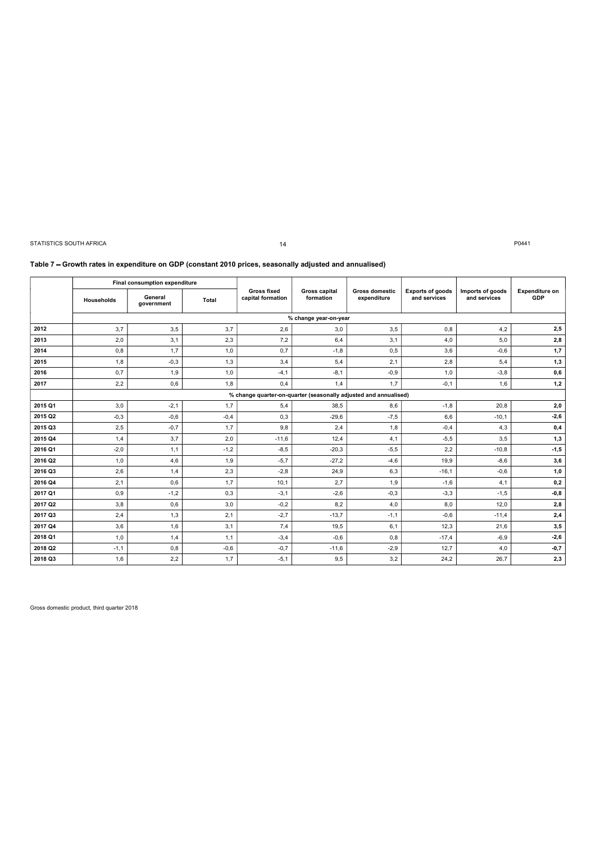### 14

### Table 7 - Growth rates in expenditure on GDP (constant 2010 prices, seasonally adjusted and annualised)

|         |            | Final consumption expenditure |        |                                                                  |                                   |                                      |                                         |                                  |                              |
|---------|------------|-------------------------------|--------|------------------------------------------------------------------|-----------------------------------|--------------------------------------|-----------------------------------------|----------------------------------|------------------------------|
|         | Households | General<br>government         | Total  | <b>Gross fixed</b><br>capital formation                          | <b>Gross capital</b><br>formation | <b>Gross domestic</b><br>expenditure | <b>Exports of goods</b><br>and services | Imports of goods<br>and services | <b>Expenditure on</b><br>GDP |
|         |            |                               |        |                                                                  | % change year-on-year             |                                      |                                         |                                  |                              |
| 2012    | 3,7        | 3,5                           | 3,7    | 2,6                                                              | 3,0                               | 3,5                                  | 0,8                                     | 4,2                              | 2,5                          |
| 2013    | 2,0        | 3.1                           | 2,3    | 7,2                                                              | 6.4                               | 3.1                                  | 4,0                                     | 5.0                              | 2,8                          |
| 2014    | 0,8        | 1,7                           | 1,0    | 0,7                                                              | $-1,8$                            | 0,5                                  | 3,6                                     | $-0,6$                           | 1,7                          |
| 2015    | 1,8        | $-0,3$                        | 1,3    | 3,4                                                              | 5,4                               | 2,1                                  | 2,8                                     | 5,4                              | 1,3                          |
| 2016    | 0,7        | 1,9                           | 1,0    | $-4,1$                                                           | $-8,1$                            | $-0,9$                               | 1,0                                     | $-3,8$                           | 0,6                          |
| 2017    | 2,2        | 0,6                           | 1,8    | 0,4                                                              | 1,4                               | 1,7                                  | $-0,1$                                  | 1,6                              | 1,2                          |
|         |            |                               |        | % change quarter-on-quarter (seasonally adjusted and annualised) |                                   |                                      |                                         |                                  |                              |
| 2015 Q1 | 3,0        | $-2,1$                        | 1,7    | 5,4                                                              | 38,5                              | 8,6                                  | $-1,8$                                  | 20,8                             | 2,0                          |
| 2015 Q2 | $-0,3$     | $-0,6$                        | $-0,4$ | 0,3                                                              | $-29,6$                           | $-7,5$                               | 6,6                                     | $-10,1$                          | $-2,6$                       |
| 2015 Q3 | 2,5        | $-0,7$                        | 1,7    | 9,8                                                              | 2,4                               | 1,8                                  | $-0,4$                                  | 4,3                              | 0,4                          |
| 2015 Q4 | 1,4        | 3,7                           | 2,0    | $-11,6$                                                          | 12,4                              | 4,1                                  | $-5,5$                                  | 3,5                              | 1,3                          |
| 2016 Q1 | $-2,0$     | 1,1                           | $-1,2$ | $-8,5$                                                           | $-20,3$                           | $-5,5$                               | 2,2                                     | $-10,8$                          | $-1,5$                       |
| 2016 Q2 | 1,0        | 4,6                           | 1,9    | $-5,7$                                                           | $-27,2$                           | $-4,6$                               | 19,9                                    | $-8,6$                           | 3,6                          |
| 2016 Q3 | 2,6        | 1,4                           | 2,3    | $-2,8$                                                           | 24,9                              | 6,3                                  | $-16,1$                                 | $-0,6$                           | 1,0                          |
| 2016 Q4 | 2,1        | 0,6                           | 1,7    | 10,1                                                             | 2,7                               | 1,9                                  | $-1,6$                                  | 4,1                              | 0,2                          |
| 2017 Q1 | 0,9        | $-1,2$                        | 0,3    | $-3.1$                                                           | $-2,6$                            | $-0,3$                               | $-3,3$                                  | $-1.5$                           | $-0,8$                       |
| 2017 Q2 | 3,8        | 0,6                           | 3,0    | $-0,2$                                                           | 8,2                               | 4,0                                  | 8,0                                     | 12,0                             | 2,8                          |
| 2017 Q3 | 2,4        | 1,3                           | 2,1    | $-2,7$                                                           | $-13,7$                           | $-1,1$                               | $-0,6$                                  | $-11.4$                          | 2,4                          |
| 2017 Q4 | 3,6        | 1,6                           | 3,1    | 7,4                                                              | 19,5                              | 6,1                                  | 12,3                                    | 21,6                             | 3,5                          |
| 2018 Q1 | 1,0        | 1,4                           | 1,1    | $-3,4$                                                           | $-0,6$                            | 0,8                                  | $-17,4$                                 | $-6,9$                           | $-2,6$                       |
| 2018 Q2 | $-1,1$     | 0,8                           | $-0,6$ | $-0,7$                                                           | $-11,6$                           | $-2,9$                               | 12,7                                    | 4,0                              | $-0,7$                       |
| 2018 Q3 | 1,6        | 2,2                           | 1,7    | $-5,1$                                                           | 9,5                               | 3,2                                  | 24,2                                    | 26,7                             | 2,3                          |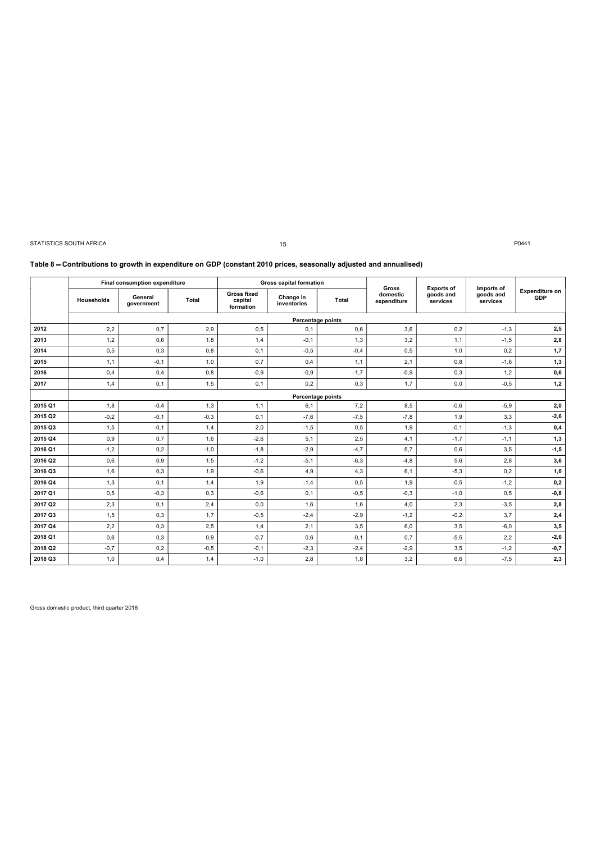|                    | STATISTICS SOUTH AFRICA |                                                        |               |                                            | 15<br>Table 8 – Contributions to growth in expenditure on GDP (constant 2010 prices, seasonally adjusted and annualised) |               |                                  |                                            |                                     | P0441                              |
|--------------------|-------------------------|--------------------------------------------------------|---------------|--------------------------------------------|--------------------------------------------------------------------------------------------------------------------------|---------------|----------------------------------|--------------------------------------------|-------------------------------------|------------------------------------|
|                    | Households              | Final consumption expenditure<br>General<br>government | <b>Total</b>  | <b>Gross fixed</b><br>capital<br>formation | <b>Gross capital formation</b><br>Change in<br>inventories                                                               | Total         | Gross<br>domestic<br>expenditure | <b>Exports of</b><br>goods and<br>services | Imports of<br>goods and<br>services | <b>Expenditure on</b><br>GDP       |
|                    |                         |                                                        |               |                                            | Percentage points                                                                                                        |               |                                  |                                            |                                     |                                    |
| 2012               | 2,2                     | 0,7                                                    | 2,9           | 0,5                                        | 0,1                                                                                                                      | 0,6           | 3,6                              | 0,2                                        |                                     |                                    |
|                    | 1,2                     |                                                        |               |                                            |                                                                                                                          |               |                                  |                                            | $-1,3$                              | 2,5                                |
| 2013               |                         | 0,6                                                    | 1,8           | 1,4                                        | $-0,1$                                                                                                                   | 1,3           | 3,2                              | 1,1                                        | $-1,5$                              | 2,8                                |
| 2014               | 0,5                     | 0,3                                                    | 0,8           | 0,1                                        | $-0,5$                                                                                                                   | $-0,4$        | 0,5                              | 1,0                                        | 0,2                                 | 1,7                                |
| 2015               | 1,1                     | $-0,1$                                                 | 1,0           | 0,7                                        | 0,4                                                                                                                      | 1,1           | 2,1                              | 0,8                                        | $-1,6$                              | 1,3                                |
| 2016               | 0,4                     | 0,4                                                    | 0,8           | $-0,9$                                     | $-0,9$                                                                                                                   | $-1,7$        | $-0,9$                           | 0,3                                        | 1,2                                 | 0,6                                |
| 2017               | 1,4                     | 0,1                                                    | 1,5           | 0,1                                        | 0,2                                                                                                                      | 0,3           | 1,7                              | 0,0                                        | $-0,5$                              | 1,2                                |
|                    |                         |                                                        |               |                                            | Percentage points                                                                                                        |               |                                  |                                            |                                     |                                    |
| 2015 Q1            | 1,8                     | $-0,4$                                                 | 1,3           | 1,1                                        | 6,1                                                                                                                      | 7,2           | 8,5                              | $-0,6$                                     | $-5,9$                              | 2,0                                |
| 2015 Q2            | $-0,2$                  | $-0,1$                                                 | $-0,3$        | 0,1                                        | $-7,6$                                                                                                                   | $-7,5$        | $-7,8$                           | 1,9                                        | 3,3                                 | $-2,6$                             |
| 2015 Q3            | 1,5                     | $-0,1$                                                 | 1,4           | 2,0                                        | $-1,5$                                                                                                                   | 0, 5          | 1,9                              | $-0,1$                                     | $-1,3$                              | 0,4                                |
| 2015 Q4            | 0,9                     | 0,7                                                    | 1,6           | $-2,6$                                     | 5,1                                                                                                                      | 2,5           | 4,1                              | $-1,7$                                     | $-1,1$                              | 1,3                                |
| 2016 Q1            | $-1,2$                  | $_{\rm 0,2}$                                           | $-1,0$        | $-1, 8$                                    | $-2,9$                                                                                                                   | $-4,7$        | $-5,7$                           | $_{0,6}$                                   | $_{\rm 3,5}$                        | $-1, 5$                            |
| 2016 Q2            | 0,6                     | 0,9                                                    | 1,5           | $-1,2$                                     | $-5,1$                                                                                                                   | $-6,3$        | $-4,8$                           | 5,6                                        | 2,8                                 | 3,6                                |
| 2016 Q3            | 1,6                     | 0,3                                                    | 1,9           | $-0,6$                                     | 4,9                                                                                                                      | 4,3           | 6,1                              | $-5,3$                                     | 0,2                                 | 1,0                                |
| 2016 Q4            | 1,3                     | 0,1                                                    | 1,4           | 1,9                                        | $-1,4$                                                                                                                   | 0,5           | 1,9                              | $-0,5$                                     | $-1,2$                              | 0,2                                |
| 2017 Q1            | 0,5                     | $-0,3$                                                 | 0,3           | $-0,6$                                     | 0,1                                                                                                                      | $-0,5$        | $-0,3$                           | $-1,0$                                     | 0,5                                 | $-0,8$                             |
| 2017 Q2            | 2,3                     | 0,1                                                    | 2,4           | 0,0                                        | 1,6                                                                                                                      | 1,6           | 4,0                              | 2,3                                        | $-3,5$                              | 2,8                                |
| 2017 Q3            | 1,5                     | 0,3                                                    | 1,7           | $-0,5$                                     | $-2,4$                                                                                                                   | $-2,9$        | $-1,2$                           | $-0,2$                                     | 3,7                                 | 2,4                                |
| 2017 Q4            | 2,2                     | 0,3                                                    | 2,5           | 1,4                                        | 2,1                                                                                                                      | 3,5           | 6,0                              | 3,5                                        | $-6,0$                              | 3,5                                |
| 2018 Q1            | 0,6                     | 0,3                                                    | 0,9           | $-0,7$                                     | 0,6                                                                                                                      | $-0,1$        | 0,7                              | $-5,5$                                     | 2,2                                 | $-2,6$                             |
| 2018 Q2<br>2018 Q3 | $-0,7$<br>1,0           | 0,2<br>0,4                                             | $-0,5$<br>1,4 | $-0,1$<br>$-1,0$                           | $-2,3$<br>2,8                                                                                                            | $-2,4$<br>1,8 | $-2,9$<br>3,2                    | 3,5<br>6,6                                 | $-1,2$<br>$-7,5$                    | $-0,7$<br>$\mathbf{2}, \mathbf{3}$ |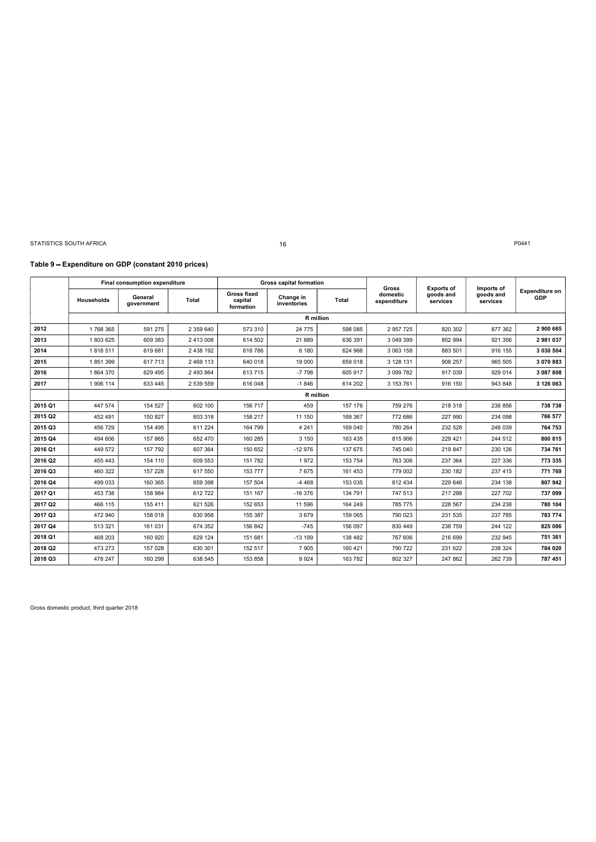### Table 9 Expenditure on GDP (constant 2010 prices)

|         |            | Final consumption expenditure |           |                                            | <b>Gross capital formation</b> |              | Gross                   |                                            |                                     |                              |
|---------|------------|-------------------------------|-----------|--------------------------------------------|--------------------------------|--------------|-------------------------|--------------------------------------------|-------------------------------------|------------------------------|
|         | Households | General<br>government         | Total     | <b>Gross fixed</b><br>capital<br>formation | Change in<br>inventories       | <b>Total</b> | domestic<br>expenditure | <b>Exports of</b><br>goods and<br>services | Imports of<br>goods and<br>services | <b>Expenditure on</b><br>GDP |
|         |            |                               |           |                                            | R million                      |              |                         |                                            |                                     |                              |
| 2012    | 1768 365   | 591 275                       | 2 359 640 | 573 310                                    | 24 775                         | 598 085      | 2 957 725               | 820 302                                    | 877 362                             | 2 900 665                    |
| 2013    | 1803625    | 609 383                       | 2 413 008 | 614 502                                    | 21889                          | 636 391      | 3 049 399               | 852 994                                    | 921 356                             | 2981037                      |
| 2014    | 1818511    | 619 681                       | 2 438 192 | 618 786                                    | 6 180                          | 624 966      | 3 063 158               | 883 501                                    | 916 155                             | 3 0 30 50 4                  |
| 2015    | 1851399    | 617 713                       | 2 469 113 | 640 018                                    | 19 000                         | 659 018      | 3 128 131               | 908 257                                    | 965 505                             | 3 070 883                    |
| 2016    | 1864370    | 629 495                       | 2 493 864 | 613 715                                    | $-7798$                        | 605 917      | 3 099 782               | 917 039                                    | 929 014                             | 3 087 808                    |
| 2017    | 1 906 114  | 633 445                       | 2 539 559 | 616 048                                    | $-1846$                        | 614 202      | 3 153 761               | 916 150                                    | 943 848                             | 3 126 063                    |
|         |            |                               |           |                                            | <b>R</b> million               |              |                         |                                            |                                     |                              |
| 2015 Q1 | 447 574    | 154 527                       | 602 100   | 156 717                                    | 459                            | 157 176      | 759 276                 | 218 318                                    | 238 856                             | 738 738                      |
| 2015 Q2 | 452 491    | 150 827                       | 603 318   | 158 217                                    | 11 150                         | 169 367      | 772 686                 | 227 990                                    | 234 098                             | 766 577                      |
| 2015 Q3 | 456 729    | 154 495                       | 611 224   | 164 799                                    | 4 2 4 1                        | 169 040      | 780 264                 | 232 528                                    | 248 039                             | 764 753                      |
| 2015 Q4 | 494 606    | 157 865                       | 652 470   | 160 285                                    | 3 1 5 0                        | 163 435      | 815 906                 | 229 421                                    | 244 512                             | 800 815                      |
| 2016 Q1 | 449 572    | 157 792                       | 607 364   | 150 652                                    | $-12976$                       | 137 675      | 745 040                 | 219 847                                    | 230 126                             | 734 761                      |
| 2016 Q2 | 455 443    | 154 110                       | 609 553   | 151 782                                    | 1972                           | 153 754      | 763 306                 | 237 364                                    | 227 336                             | 773 335                      |
| 2016 Q3 | 460 322    | 157 228                       | 617 550   | 153 777                                    | 7675                           | 161 453      | 779 002                 | 230 182                                    | 237 415                             | 771 769                      |
| 2016 Q4 | 499 033    | 160 365                       | 659 398   | 157 504                                    | $-4468$                        | 153 035      | 812 434                 | 229 646                                    | 234 138                             | 807 942                      |
| 2017 Q1 | 453 738    | 158 984                       | 612722    | 151 167                                    | $-16376$                       | 134 791      | 747 513                 | 217 288                                    | 227 702                             | 737 099                      |
| 2017 Q2 | 466 115    | 155 411                       | 621 526   | 152 653                                    | 11 596                         | 164 249      | 785 775                 | 228 567                                    | 234 238                             | 780 104                      |
| 2017 Q3 | 472 940    | 158 018                       | 630 958   | 155 387                                    | 3679                           | 159 065      | 790 023                 | 231 535                                    | 237 785                             | 783 774                      |
| 2017 Q4 | 513 321    | 161 031                       | 674 352   | 156 842                                    | $-745$                         | 156 097      | 830 449                 | 238 759                                    | 244 122                             | 825 086                      |
| 2018 Q1 | 468 203    | 160 920                       | 629 124   | 151 681                                    | $-13199$                       | 138 482      | 767 606                 | 216 699                                    | 232 945                             | 751 361                      |
| 2018 Q2 | 473 273    | 157 028                       | 630 301   | 152 517                                    | 7 9 0 5                        | 160 421      | 790 722                 | 231 622                                    | 238 324                             | 784 020                      |
| 2018 Q3 | 478 247    | 160 299                       | 638 545   | 153 858                                    | 9924                           | 163 782      | 802 327                 | 247 862                                    | 262 739                             | 787 451                      |

16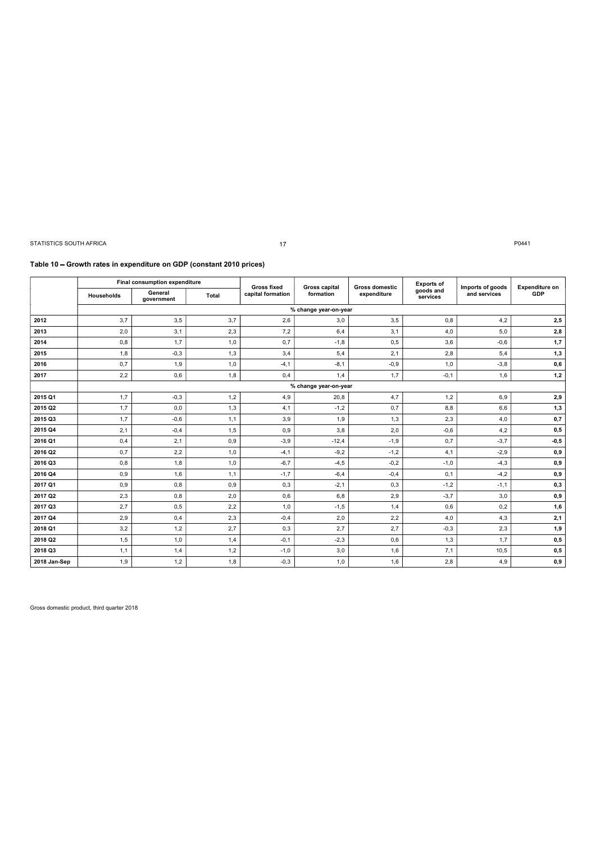| STATISTICS SOUTH AFRICA |                                                                      |                               |              | 17                 |                               |                |                       |                  | P0441                   |
|-------------------------|----------------------------------------------------------------------|-------------------------------|--------------|--------------------|-------------------------------|----------------|-----------------------|------------------|-------------------------|
|                         |                                                                      |                               |              |                    |                               |                |                       |                  |                         |
|                         | Table 10 - Growth rates in expenditure on GDP (constant 2010 prices) |                               |              |                    |                               |                |                       |                  |                         |
|                         |                                                                      | Final consumption expenditure |              | <b>Gross fixed</b> | <b>Gross capital</b>          | Gross domestic | <b>Exports of</b>     | Imports of goods | <b>Expenditure on</b>   |
|                         | Households                                                           | General<br>government         | <b>Total</b> | capital formation  | formation                     | expenditure    | goods and<br>services | and services     | GDP                     |
|                         |                                                                      |                               |              |                    |                               |                |                       |                  |                         |
| 2012                    | 3,7                                                                  |                               |              |                    | % change year-on-year         |                |                       |                  |                         |
|                         |                                                                      | 3,5                           | 3,7          | 2,6                | 3,0                           | 3,5            | 0,8                   | 4,2              | 2,5                     |
| 2013                    | 2,0                                                                  | 3,1                           | 2,3          | 7,2                | 6,4                           | 3,1            | 4,0                   | 5,0              | 2,8                     |
| 2014                    | 0,8                                                                  | 1,7                           | 1,0          | 0,7                | $-1,8$                        | 0,5            | 3,6                   | $-0,6$           | 1,7                     |
| 2015                    | 1,8                                                                  | $-0,3$                        | 1,3          | 3,4                | 5,4                           | 2,1            | 2,8                   | 5,4              | 1,3                     |
| 2016                    | 0,7                                                                  | 1,9                           | 1,0          | $-4,1$             | $-8,1$                        | $-0,9$         | 1,0                   | $-3,8$           | 0,6                     |
| 2017                    | 2,2                                                                  | 0,6                           | 1,8          | 0,4                | 1,4                           | 1,7            | $-0,1$                | 1,6              | 1,2                     |
| 2015 Q1                 | 1,7                                                                  | $-0,3$                        | 1,2          | 4,9                | % change year-on-year<br>20,8 | 4,7            | 1,2                   | 6,9              | 2,9                     |
| 2015 Q2                 | 1,7                                                                  | 0,0                           | 1,3          | 4,1                | $-1,2$                        | 0,7            | 8,8                   | 6,6              | 1,3                     |
| 2015 Q3                 | 1,7                                                                  | $-0,6$                        | 1,1          | 3,9                | 1,9                           | 1,3            | 2,3                   | 4,0              | 0,7                     |
| 2015 Q4                 | 2,1                                                                  | $-0,4$                        | 1,5          | 0,9                | 3,8                           | 2,0            | $-0,6$                | 4,2              | 0,5                     |
| 2016 Q1                 | 0,4                                                                  | 2,1                           | 0,9          | $-3,9$             | $-12,4$                       | $-1,9$         | 0,7                   | $-3,7$           | $-0,5$                  |
| 2016 Q2                 | 0,7                                                                  | 2,2                           | 1,0          | -4,1               | -9,2                          | $-1,2$         | 4,1                   | -2,9             | $\mathbf{0},\mathbf{9}$ |
| 2016 Q3                 | 0,8                                                                  | 1,8                           | 1,0          | $-6,7$             | $-4,5$                        | $-0,2$         | $-1,0$                | $-4,3$           | $\mathbf{0},\mathbf{9}$ |
| 2016 Q4                 | 0,9                                                                  | 1,6                           | 1,1          | $-1,7$             | $-6,4$                        | $-0,4$         | 0,1                   | $-4,2$           | $\mathbf{0},\mathbf{9}$ |
| 2017 Q1                 | 0,9                                                                  | 0,8                           | 0,9          | 0,3                | $-2,1$                        | 0,3            | $-1,2$                | $-1,1$           | 0,3                     |
| 2017 Q2                 | 2,3                                                                  | 0,8                           | 2,0          | 0,6                | 6,8                           | 2,9            | $-3,7$                | $3,0$            | $\mathbf{0},\mathbf{9}$ |
| 2017 Q3                 | 2,7                                                                  | $0,5$                         | 2,2          | 1,0                | $-1,5$                        | 1,4            | 0,6                   | 0,2              | 1,6                     |
| 2017 Q4<br>2018 Q1      | 2,9<br>3,2                                                           | 0,4<br>1,2                    | $2,3$<br>2,7 | $-0,4$<br>0,3      | 2,0<br>2,7                    | 2,2<br>2,7     | $4,0$<br>$-0,3$       | 4,3<br>2,3       | 2,1<br>1,9              |
| 2018 Q2                 | 1,5                                                                  | 1,0                           | 1,4          | $-0,1$             | $-2,3$                        | 0,6            | 1,3                   | $1,7$            | 0,5                     |
| 2018 Q3                 | 1,1                                                                  | 1,4                           | 1,2          | $-1,0$             | 3,0                           | 1,6            | 7,1                   | 10,5             | 0,5                     |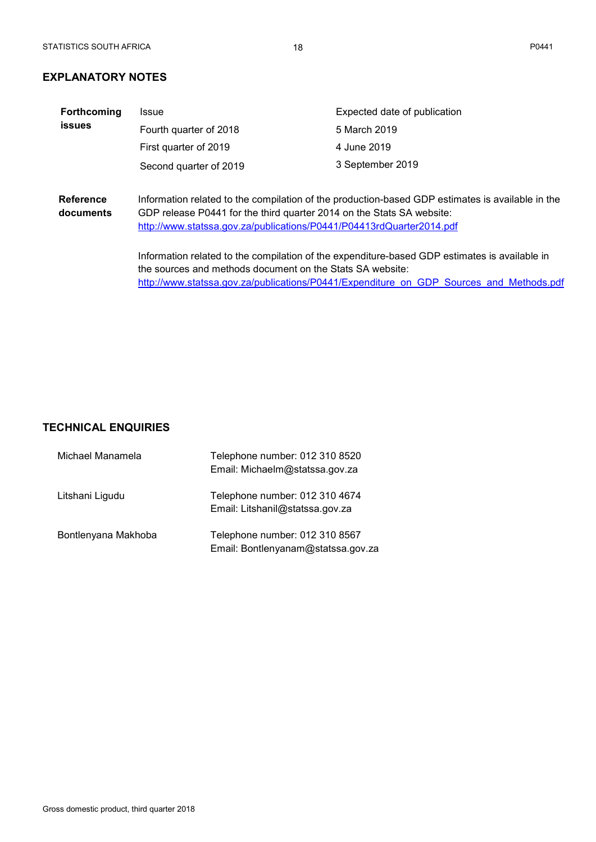# EXPLANATORY NOTES

| <b>(PLANATORY NOTES</b><br>Forthcoming<br>Expected date of publication<br><b>Issue</b><br><b>issues</b><br>Fourth quarter of 2018<br>5 March 2019<br>4 June 2019<br>First quarter of 2019<br>3 September 2019<br>Second quarter of 2019<br>Information related to the compilation of the production-based GDP estimates is available in the<br><b>Reference</b><br>GDP release P0441 for the third quarter 2014 on the Stats SA website:<br>documents<br>http://www.statssa.gov.za/publications/P0441/P04413rdQuarter2014.pdf<br>Information related to the compilation of the expenditure-based GDP estimates is available in<br>the sources and methods document on the Stats SA website:<br>http://www.statssa.gov.za/publications/P0441/Expenditure on GDP Sources and Methods.pdf | ATISTICS SOUTH AFRICA | 18 | P0441 |
|----------------------------------------------------------------------------------------------------------------------------------------------------------------------------------------------------------------------------------------------------------------------------------------------------------------------------------------------------------------------------------------------------------------------------------------------------------------------------------------------------------------------------------------------------------------------------------------------------------------------------------------------------------------------------------------------------------------------------------------------------------------------------------------|-----------------------|----|-------|
|                                                                                                                                                                                                                                                                                                                                                                                                                                                                                                                                                                                                                                                                                                                                                                                        |                       |    |       |
|                                                                                                                                                                                                                                                                                                                                                                                                                                                                                                                                                                                                                                                                                                                                                                                        |                       |    |       |
|                                                                                                                                                                                                                                                                                                                                                                                                                                                                                                                                                                                                                                                                                                                                                                                        |                       |    |       |
|                                                                                                                                                                                                                                                                                                                                                                                                                                                                                                                                                                                                                                                                                                                                                                                        |                       |    |       |
|                                                                                                                                                                                                                                                                                                                                                                                                                                                                                                                                                                                                                                                                                                                                                                                        |                       |    |       |
|                                                                                                                                                                                                                                                                                                                                                                                                                                                                                                                                                                                                                                                                                                                                                                                        |                       |    |       |
|                                                                                                                                                                                                                                                                                                                                                                                                                                                                                                                                                                                                                                                                                                                                                                                        |                       |    |       |
|                                                                                                                                                                                                                                                                                                                                                                                                                                                                                                                                                                                                                                                                                                                                                                                        |                       |    |       |
|                                                                                                                                                                                                                                                                                                                                                                                                                                                                                                                                                                                                                                                                                                                                                                                        |                       |    |       |
|                                                                                                                                                                                                                                                                                                                                                                                                                                                                                                                                                                                                                                                                                                                                                                                        |                       |    |       |
|                                                                                                                                                                                                                                                                                                                                                                                                                                                                                                                                                                                                                                                                                                                                                                                        |                       |    |       |
| <b>CHNICAL ENQUIRIES</b>                                                                                                                                                                                                                                                                                                                                                                                                                                                                                                                                                                                                                                                                                                                                                               |                       |    |       |
| Michael Manamela<br>Telephone number: 012 310 8520<br>Email: Michaelm@statssa.gov.za                                                                                                                                                                                                                                                                                                                                                                                                                                                                                                                                                                                                                                                                                                   |                       |    |       |
| Telephone number: 012 310 4674<br>Litshani Ligudu<br>Email: Litshanil@statssa.gov.za                                                                                                                                                                                                                                                                                                                                                                                                                                                                                                                                                                                                                                                                                                   |                       |    |       |
| Telephone number: 012 310 8567<br>Bontlenyana Makhoba                                                                                                                                                                                                                                                                                                                                                                                                                                                                                                                                                                                                                                                                                                                                  |                       |    |       |

# TECHNICAL ENQUIRIES

|                           | http://www.statssa.gov.za/publications/P0441/Expenditure on GDP Sources and Methods.pdf |  |
|---------------------------|-----------------------------------------------------------------------------------------|--|
|                           |                                                                                         |  |
|                           |                                                                                         |  |
|                           |                                                                                         |  |
|                           |                                                                                         |  |
|                           |                                                                                         |  |
|                           |                                                                                         |  |
|                           |                                                                                         |  |
| <b>ECHNICAL ENQUIRIES</b> |                                                                                         |  |
| Michael Manamela          | Telephone number: 012 310 8520                                                          |  |
|                           | Email: Michaelm@statssa.gov.za                                                          |  |
| Litshani Ligudu           | Telephone number: 012 310 4674                                                          |  |
|                           | Email: Litshanil@statssa.gov.za                                                         |  |
| Bontlenyana Makhoba       | Telephone number: 012 310 8567                                                          |  |
|                           |                                                                                         |  |